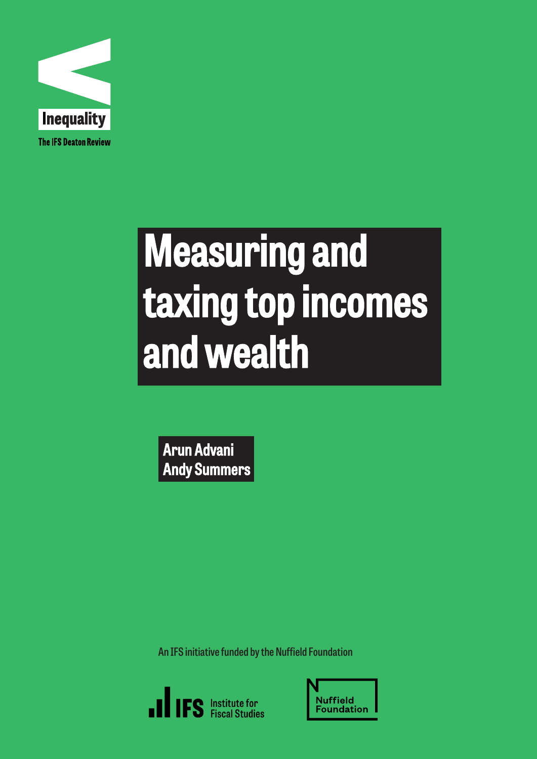

# Measuring and taxing top incomes and wealth

Arun Advani Andy Summers

**An IFS initiative funded by the Nuffield Foundation**



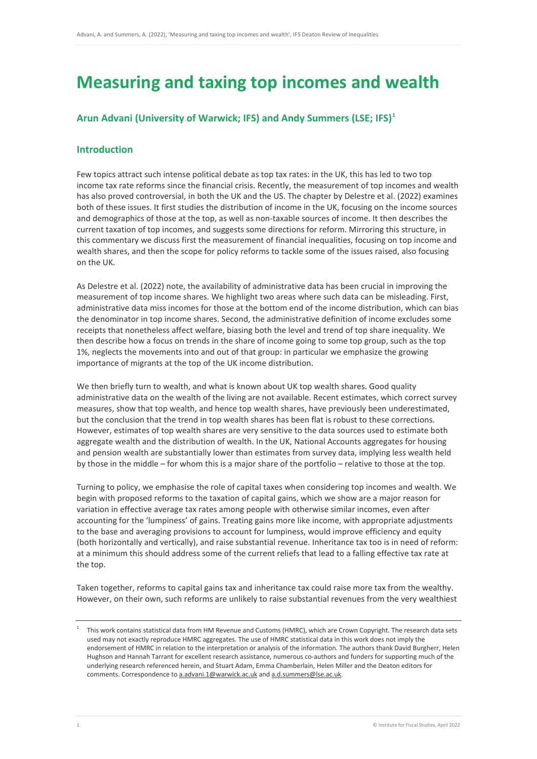# **Measuring and taxing top incomes and wealth**

# **Arun Advani (University of Warwick; IFS) and Andy Summers (LSE; IFS) [1](#page-1-0)**

# **Introduction**

Few topics attract such intense political debate as top tax rates: in the UK, this has led to two top income tax rate reforms since the financial crisis. Recently, the measurement of top incomes and wealth has also proved controversial, in both the UK and the US. The chapter by Delestre et al. (2022) examines both of these issues. It first studies the distribution of income in the UK, focusing on the income sources and demographics of those at the top, as well as non-taxable sources of income. It then describes the current taxation of top incomes, and suggests some directions for reform. Mirroring this structure, in this commentary we discuss first the measurement of financial inequalities, focusing on top income and wealth shares, and then the scope for policy reforms to tackle some of the issues raised, also focusing on the UK.

As Delestre et al. (2022) note, the availability of administrative data has been crucial in improving the measurement of top income shares. We highlight two areas where such data can be misleading. First, administrative data miss incomes for those at the bottom end of the income distribution, which can bias the denominator in top income shares. Second, the administrative definition of income excludes some receipts that nonetheless affect welfare, biasing both the level and trend of top share inequality. We then describe how a focus on trends in the share of income going to some top group, such as the top 1%, neglects the movements into and out of that group: in particular we emphasize the growing importance of migrants at the top of the UK income distribution.

We then briefly turn to wealth, and what is known about UK top wealth shares. Good quality administrative data on the wealth of the living are not available. Recent estimates, which correct survey measures, show that top wealth, and hence top wealth shares, have previously been underestimated, but the conclusion that the trend in top wealth shares has been flat is robust to these corrections. However, estimates of top wealth shares are very sensitive to the data sources used to estimate both aggregate wealth and the distribution of wealth. In the UK, National Accounts aggregates for housing and pension wealth are substantially lower than estimates from survey data, implying less wealth held by those in the middle – for whom this is a major share of the portfolio – relative to those at the top.

Turning to policy, we emphasise the role of capital taxes when considering top incomes and wealth. We begin with proposed reforms to the taxation of capital gains, which we show are a major reason for variation in effective average tax rates among people with otherwise similar incomes, even after accounting for the 'lumpiness' of gains. Treating gains more like income, with appropriate adjustments to the base and averaging provisions to account for lumpiness, would improve efficiency and equity (both horizontally and vertically), and raise substantial revenue. Inheritance tax too is in need of reform: at a minimum this should address some of the current reliefs that lead to a falling effective tax rate at the top.

Taken together, reforms to capital gains tax and inheritance tax could raise more tax from the wealthy. However, on their own, such reforms are unlikely to raise substantial revenues from the very wealthiest

<span id="page-1-0"></span><sup>1</sup> This work contains statistical data from HM Revenue and Customs (HMRC), which are Crown Copyright. The research data sets used may not exactly reproduce HMRC aggregates. The use of HMRC statistical data in this work does not imply the endorsement of HMRC in relation to the interpretation or analysis of the information. The authors thank David Burgherr, Helen Hughson and Hannah Tarrant for excellent research assistance, numerous co-authors and funders for supporting much of the underlying research referenced herein, and Stuart Adam, Emma Chamberlain, Helen Miller and the Deaton editors for comments. Correspondence t[o a.advani.1@warwick.ac.uk](mailto:a.advani.1@warwick.ac.uk) and a.d.summers@lse.ac.uk.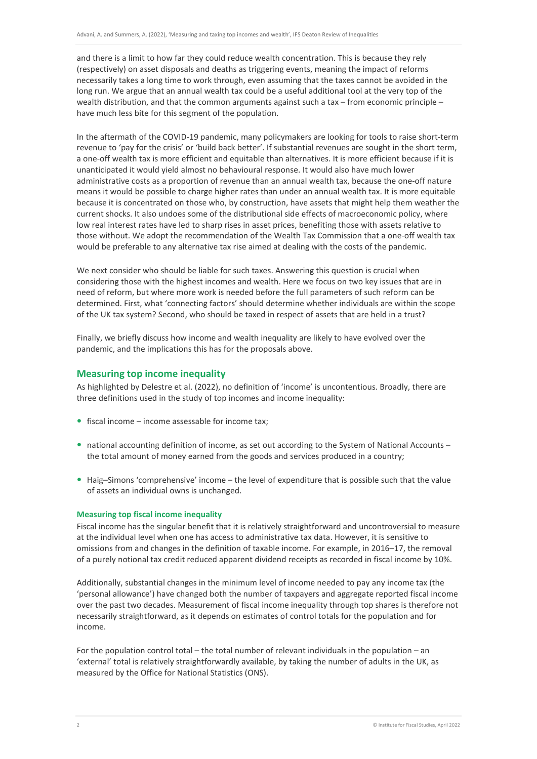and there is a limit to how far they could reduce wealth concentration. This is because they rely (respectively) on asset disposals and deaths as triggering events, meaning the impact of reforms necessarily takes a long time to work through, even assuming that the taxes cannot be avoided in the long run. We argue that an annual wealth tax could be a useful additional tool at the very top of the wealth distribution, and that the common arguments against such a tax – from economic principle – have much less bite for this segment of the population.

In the aftermath of the COVID-19 pandemic, many policymakers are looking for tools to raise short-term revenue to 'pay for the crisis' or 'build back better'. If substantial revenues are sought in the short term, a one-off wealth tax is more efficient and equitable than alternatives. It is more efficient because if it is unanticipated it would yield almost no behavioural response. It would also have much lower administrative costs as a proportion of revenue than an annual wealth tax, because the one-off nature means it would be possible to charge higher rates than under an annual wealth tax. It is more equitable because it is concentrated on those who, by construction, have assets that might help them weather the current shocks. It also undoes some of the distributional side effects of macroeconomic policy, where low real interest rates have led to sharp rises in asset prices, benefiting those with assets relative to those without. We adopt the recommendation of the Wealth Tax Commission that a one-off wealth tax would be preferable to any alternative tax rise aimed at dealing with the costs of the pandemic.

We next consider who should be liable for such taxes. Answering this question is crucial when considering those with the highest incomes and wealth. Here we focus on two key issues that are in need of reform, but where more work is needed before the full parameters of such reform can be determined. First, what 'connecting factors' should determine whether individuals are within the scope of the UK tax system? Second, who should be taxed in respect of assets that are held in a trust?

Finally, we briefly discuss how income and wealth inequality are likely to have evolved over the pandemic, and the implications this has for the proposals above.

#### **Measuring top income inequality**

As highlighted by Delestre et al. (2022), no definition of 'income' is uncontentious. Broadly, there are three definitions used in the study of top incomes and income inequality:

- $\bullet$  fiscal income income assessable for income tax;
- national accounting definition of income, as set out according to the System of National Accounts the total amount of money earned from the goods and services produced in a country;
- Haig–Simons 'comprehensive' income the level of expenditure that is possible such that the value of assets an individual owns is unchanged.

#### **Measuring top fiscal income inequality**

Fiscal income has the singular benefit that it is relatively straightforward and uncontroversial to measure at the individual level when one has access to administrative tax data. However, it is sensitive to omissions from and changes in the definition of taxable income. For example, in 2016–17, the removal of a purely notional tax credit reduced apparent dividend receipts as recorded in fiscal income by 10%.

Additionally, substantial changes in the minimum level of income needed to pay any income tax (the 'personal allowance') have changed both the number of taxpayers and aggregate reported fiscal income over the past two decades. Measurement of fiscal income inequality through top shares is therefore not necessarily straightforward, as it depends on estimates of control totals for the population and for income.

For the population control total – the total number of relevant individuals in the population – an 'external' total is relatively straightforwardly available, by taking the number of adults in the UK, as measured by the Office for National Statistics (ONS).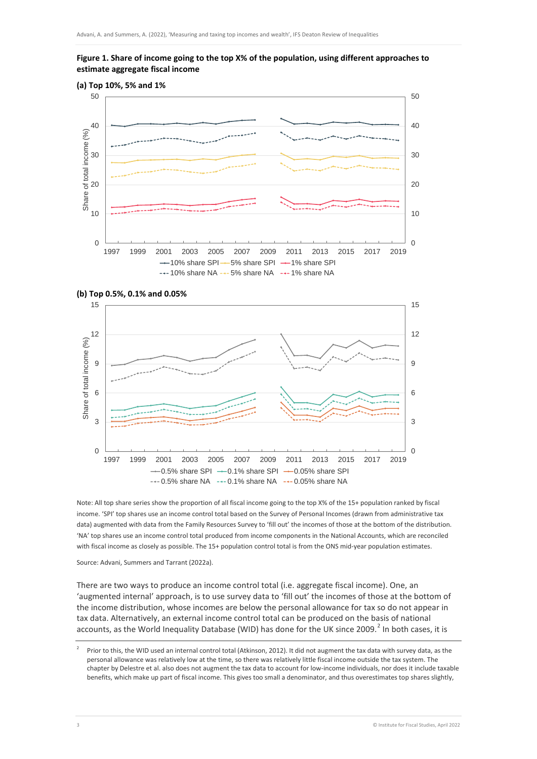## **Figure 1. Share of income going to the top X% of the population, using different approaches to estimate aggregate fiscal income**







Note: All top share series show the proportion of all fiscal income going to the top X% of the 15+ population ranked by fiscal income. 'SPI' top shares use an income control total based on the Survey of Personal Incomes (drawn from administrative tax data) augmented with data from the Family Resources Survey to 'fill out' the incomes of those at the bottom of the distribution. 'NA' top shares use an income control total produced from income components in the National Accounts, which are reconciled with fiscal income as closely as possible. The 15+ population control total is from the ONS mid-year population estimates.

Source: Advani, Summers and Tarrant (2022a).

There are two ways to produce an income control total (i.e. aggregate fiscal income). One, an 'augmented internal' approach, is to use survey data to 'fill out' the incomes of those at the bottom of the income distribution, whose incomes are below the personal allowance for tax so do not appear in tax data. Alternatively, an external income control total can be produced on the basis of national accounts, as the World Inequality Database (WID) has done for the UK since [2](#page-3-0)009.<sup>2</sup> In both cases, it is

<span id="page-3-0"></span><sup>2</sup> Prior to this, the WID used an internal control total (Atkinson, 2012). It did not augment the tax data with survey data, as the personal allowance was relatively low at the time, so there was relatively little fiscal income outside the tax system. The chapter by Delestre et al. also does not augment the tax data to account for low-income individuals, nor does it include taxable benefits, which make up part of fiscal income. This gives too small a denominator, and thus overestimates top shares slightly,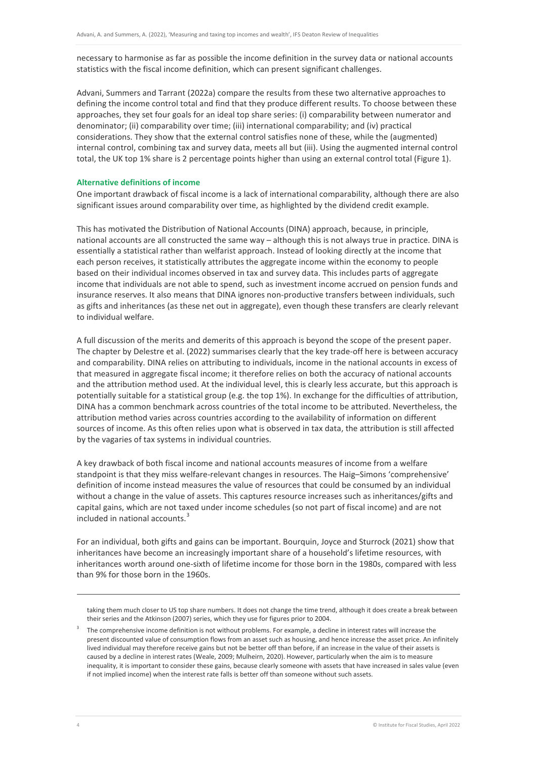necessary to harmonise as far as possible the income definition in the survey data or national accounts statistics with the fiscal income definition, which can present significant challenges.

Advani, Summers and Tarrant (2022a) compare the results from these two alternative approaches to defining the income control total and find that they produce different results. To choose between these approaches, they set four goals for an ideal top share series: (i) comparability between numerator and denominator; (ii) comparability over time; (iii) international comparability; and (iv) practical considerations. They show that the external control satisfies none of these, while the (augmented) internal control, combining tax and survey data, meets all but (iii). Using the augmented internal control total, the UK top 1% share is 2 percentage points higher than using an external control total (Figure 1).

#### **Alternative definitions of income**

One important drawback of fiscal income is a lack of international comparability, although there are also significant issues around comparability over time, as highlighted by the dividend credit example.

This has motivated the Distribution of National Accounts (DINA) approach, because, in principle, national accounts are all constructed the same way – although this is not always true in practice. DINA is essentially a statistical rather than welfarist approach. Instead of looking directly at the income that each person receives, it statistically attributes the aggregate income within the economy to people based on their individual incomes observed in tax and survey data. This includes parts of aggregate income that individuals are not able to spend, such as investment income accrued on pension funds and insurance reserves. It also means that DINA ignores non-productive transfers between individuals, such as gifts and inheritances (as these net out in aggregate), even though these transfers are clearly relevant to individual welfare.

A full discussion of the merits and demerits of this approach is beyond the scope of the present paper. The chapter by Delestre et al. (2022) summarises clearly that the key trade-off here is between accuracy and comparability. DINA relies on attributing to individuals, income in the national accounts in excess of that measured in aggregate fiscal income; it therefore relies on both the accuracy of national accounts and the attribution method used. At the individual level, this is clearly less accurate, but this approach is potentially suitable for a statistical group (e.g. the top 1%). In exchange for the difficulties of attribution, DINA has a common benchmark across countries of the total income to be attributed. Nevertheless, the attribution method varies across countries according to the availability of information on different sources of income. As this often relies upon what is observed in tax data, the attribution is still affected by the vagaries of tax systems in individual countries.

A key drawback of both fiscal income and national accounts measures of income from a welfare standpoint is that they miss welfare-relevant changes in resources. The Haig–Simons 'comprehensive' definition of income instead measures the value of resources that could be consumed by an individual without a change in the value of assets. This captures resource increases such as inheritances/gifts and capital gains, which are not taxed under income schedules (so not part of fiscal income) and are not included in national accounts.<sup>[3](#page-4-0)</sup>

For an individual, both gifts and gains can be important. Bourquin, Joyce and Sturrock (2021) show that inheritances have become an increasingly important share of a household's lifetime resources, with inheritances worth around one-sixth of lifetime income for those born in the 1980s, compared with less than 9% for those born in the 1960s.

 $\overline{a}$ 

taking them much closer to US top share numbers. It does not change the time trend, although it does create a break between their series and the Atkinson (2007) series, which they use for figures prior to 2004.

<span id="page-4-0"></span><sup>3</sup> The comprehensive income definition is not without problems. For example, a decline in interest rates will increase the present discounted value of consumption flows from an asset such as housing, and hence increase the asset price. An infinitely lived individual may therefore receive gains but not be better off than before, if an increase in the value of their assets is caused by a decline in interest rates (Weale, 2009; Mulheirn, 2020). However, particularly when the aim is to measure inequality, it is important to consider these gains, because clearly someone with assets that have increased in sales value (even if not implied income) when the interest rate falls is better off than someone without such assets.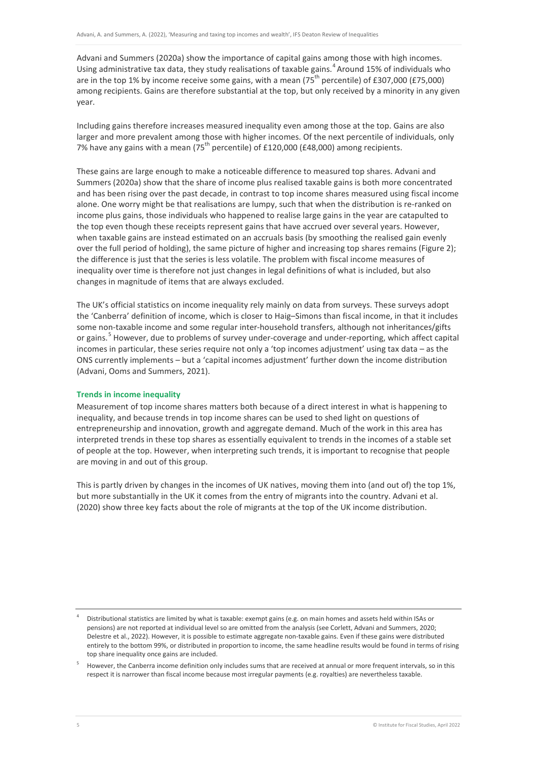Advani and Summers (2020a) show the importance of capital gains among those with high incomes. Using administrative tax data, they study realisations of taxable gains.<sup>[4](#page-5-0)</sup> Around 15% of individuals who are in the top 1% by income receive some gains, with a mean  $(75<sup>th</sup>$  percentile) of £307,000 (£75,000) among recipients. Gains are therefore substantial at the top, but only received by a minority in any given year.

Including gains therefore increases measured inequality even among those at the top. Gains are also larger and more prevalent among those with higher incomes. Of the next percentile of individuals, only 7% have any gains with a mean (75<sup>th</sup> percentile) of £120,000 (£48,000) among recipients.

These gains are large enough to make a noticeable difference to measured top shares. Advani and Summers (2020a) show that the share of income plus realised taxable gains is both more concentrated and has been rising over the past decade, in contrast to top income shares measured using fiscal income alone. One worry might be that realisations are lumpy, such that when the distribution is re-ranked on income plus gains, those individuals who happened to realise large gains in the year are catapulted to the top even though these receipts represent gains that have accrued over several years. However, when taxable gains are instead estimated on an accruals basis (by smoothing the realised gain evenly over the full period of holding), the same picture of higher and increasing top shares remains (Figure 2); the difference is just that the series is less volatile. The problem with fiscal income measures of inequality over time is therefore not just changes in legal definitions of what is included, but also changes in magnitude of items that are always excluded.

The UK's official statistics on income inequality rely mainly on data from surveys. These surveys adopt the 'Canberra' definition of income, which is closer to Haig–Simons than fiscal income, in that it includes some non-taxable income and some regular inter-household transfers, although not inheritances/gifts or gains.<sup>[5](#page-5-1)</sup> However, due to problems of survey under-coverage and under-reporting, which affect capital incomes in particular, these series require not only a 'top incomes adjustment' using tax data – as the ONS currently implements – but a 'capital incomes adjustment' further down the income distribution (Advani, Ooms and Summers, 2021).

#### **Trends in income inequality**

Measurement of top income shares matters both because of a direct interest in what is happening to inequality, and because trends in top income shares can be used to shed light on questions of entrepreneurship and innovation, growth and aggregate demand. Much of the work in this area has interpreted trends in these top shares as essentially equivalent to trends in the incomes of a stable set of people at the top. However, when interpreting such trends, it is important to recognise that people are moving in and out of this group.

This is partly driven by changes in the incomes of UK natives, moving them into (and out of) the top 1%, but more substantially in the UK it comes from the entry of migrants into the country. Advani et al. (2020) show three key facts about the role of migrants at the top of the UK income distribution.

<span id="page-5-0"></span><sup>4</sup> Distributional statistics are limited by what is taxable: exempt gains (e.g. on main homes and assets held within ISAs or pensions) are not reported at individual level so are omitted from the analysis (see Corlett, Advani and Summers, 2020; Delestre et al., 2022). However, it is possible to estimate aggregate non-taxable gains. Even if these gains were distributed entirely to the bottom 99%, or distributed in proportion to income, the same headline results would be found in terms of rising top share inequality once gains are included.

<span id="page-5-1"></span>However, the Canberra income definition only includes sums that are received at annual or more frequent intervals, so in this respect it is narrower than fiscal income because most irregular payments (e.g. royalties) are nevertheless taxable.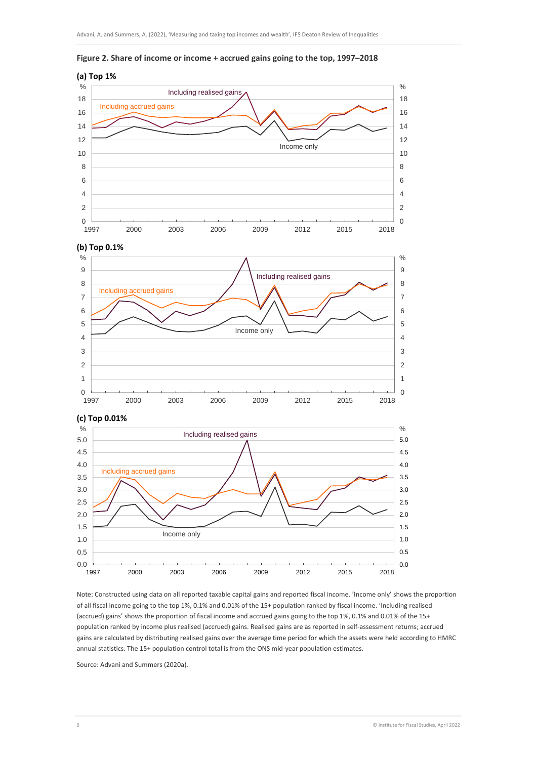

**Figure 2. Share of income or income + accrued gains going to the top, 1997–2018**



Note: Constructed using data on all reported taxable capital gains and reported fiscal income. 'Income only' shows the proportion of all fiscal income going to the top 1%, 0.1% and 0.01% of the 15+ population ranked by fiscal income. 'Including realised (accrued) gains' shows the proportion of fiscal income and accrued gains going to the top 1%, 0.1% and 0.01% of the 15+ population ranked by income plus realised (accrued) gains. Realised gains are as reported in self-assessment returns; accrued gains are calculated by distributing realised gains over the average time period for which the assets were held according to HMRC annual statistics. The 15+ population control total is from the ONS mid-year population estimates.

Source: Advani and Summers (2020a).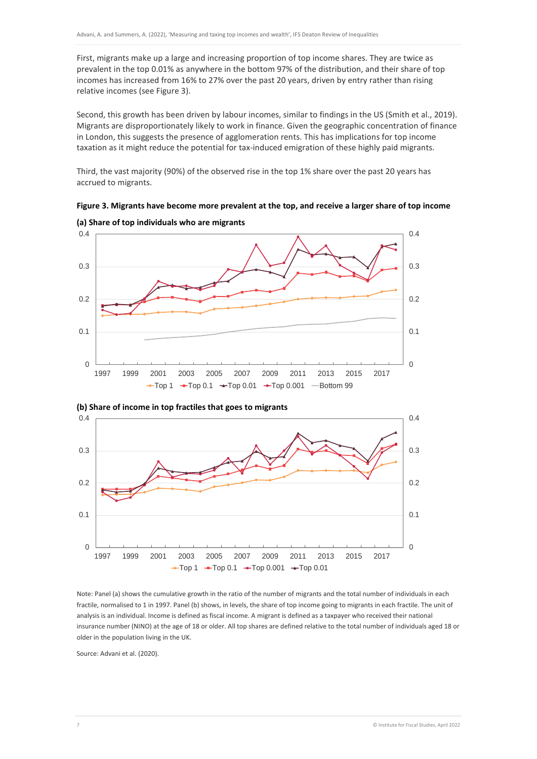First, migrants make up a large and increasing proportion of top income shares. They are twice as prevalent in the top 0.01% as anywhere in the bottom 97% of the distribution, and their share of top incomes has increased from 16% to 27% over the past 20 years, driven by entry rather than rising relative incomes (see Figure 3).

Second, this growth has been driven by labour incomes, similar to findings in the US (Smith et al., 2019). Migrants are disproportionately likely to work in finance. Given the geographic concentration of finance in London, this suggests the presence of agglomeration rents. This has implications for top income taxation as it might reduce the potential for tax-induced emigration of these highly paid migrants.

Third, the vast majority (90%) of the observed rise in the top 1% share over the past 20 years has accrued to migrants.

**Figure 3. Migrants have become more prevalent at the top, and receive a larger share of top income**







Note: Panel (a) shows the cumulative growth in the ratio of the number of migrants and the total number of individuals in each fractile, normalised to 1 in 1997. Panel (b) shows, in levels, the share of top income going to migrants in each fractile. The unit of analysis is an individual. Income is defined as fiscal income. A migrant is defined as a taxpayer who received their national insurance number (NINO) at the age of 18 or older. All top shares are defined relative to the total number of individuals aged 18 or older in the population living in the UK.

Source: Advani et al. (2020).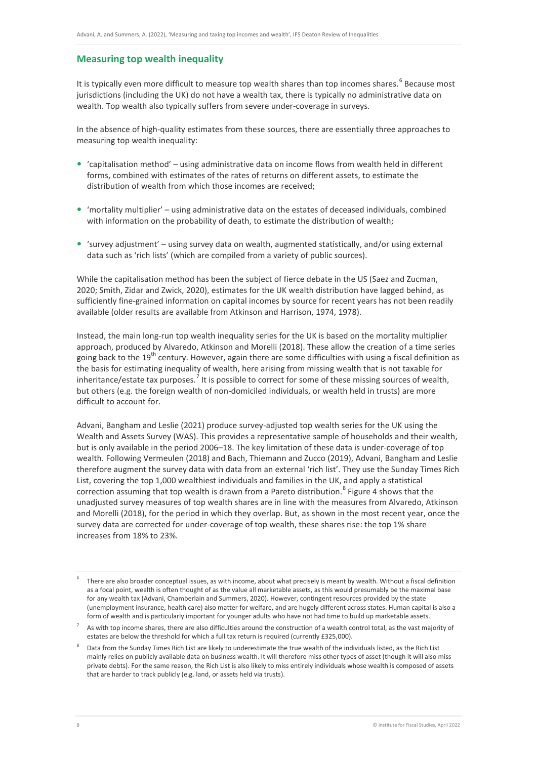### **Measuring top wealth inequality**

It is typically even more difficult to measure top wealth shares than top incomes shares.<sup>[6](#page-8-0)</sup> Because most jurisdictions (including the UK) do not have a wealth tax, there is typically no administrative data on wealth. Top wealth also typically suffers from severe under-coverage in surveys.

In the absence of high-quality estimates from these sources, there are essentially three approaches to measuring top wealth inequality:

- 'capitalisation method' using administrative data on income flows from wealth held in different forms, combined with estimates of the rates of returns on different assets, to estimate the distribution of wealth from which those incomes are received;
- 'mortality multiplier' using administrative data on the estates of deceased individuals, combined with information on the probability of death, to estimate the distribution of wealth;
- 'survey adjustment' using survey data on wealth, augmented statistically, and/or using external data such as 'rich lists' (which are compiled from a variety of public sources).

While the capitalisation method has been the subject of fierce debate in the US (Saez and Zucman, 2020; Smith, Zidar and Zwick, 2020), estimates for the UK wealth distribution have lagged behind, as sufficiently fine-grained information on capital incomes by source for recent years has not been readily available (older results are available from Atkinson and Harrison, 1974, 1978).

Instead, the main long-run top wealth inequality series for the UK is based on the mortality multiplier approach, produced by Alvaredo, Atkinson and Morelli (2018). These allow the creation of a time series going back to the 19<sup>th</sup> century. However, again there are some difficulties with using a fiscal definition as the basis for estimating inequality of wealth, here arising from missing wealth that is not taxable for inheritance/estate tax purposes.<sup>[7](#page-8-1)</sup> It is possible to correct for some of these missing sources of wealth, but others (e.g. the foreign wealth of non-domiciled individuals, or wealth held in trusts) are more difficult to account for.

Advani, Bangham and Leslie (2021) produce survey-adjusted top wealth series for the UK using the Wealth and Assets Survey (WAS). This provides a representative sample of households and their wealth, but is only available in the period 2006–18. The key limitation of these data is under-coverage of top wealth. Following Vermeulen (2018) and Bach, Thiemann and Zucco (2019), Advani, Bangham and Leslie therefore augment the survey data with data from an external 'rich list'. They use the Sunday Times Rich List, covering the top 1,000 wealthiest individuals and families in the UK, and apply a statistical correction assuming that top wealth is drawn from a Pareto distribution.<sup>[8](#page-8-2)</sup> Figure 4 shows that the unadjusted survey measures of top wealth shares are in line with the measures from Alvaredo, Atkinson and Morelli (2018), for the period in which they overlap. But, as shown in the most recent year, once the survey data are corrected for under-coverage of top wealth, these shares rise: the top 1% share increases from 18% to 23%.

<span id="page-8-0"></span>There are also broader conceptual issues, as with income, about what precisely is meant by wealth. Without a fiscal definition as a focal point, wealth is often thought of as the value all marketable assets, as this would presumably be the maximal base for any wealth tax (Advani, Chamberlain and Summers, 2020). However, contingent resources provided by the state (unemployment insurance, health care) also matter for welfare, and are hugely different across states. Human capital is also a form of wealth and is particularly important for younger adults who have not had time to build up marketable assets.

<span id="page-8-1"></span><sup>7</sup> As with top income shares, there are also difficulties around the construction of a wealth control total, as the vast majority of estates are below the threshold for which a full tax return is required (currently £325,000).

<span id="page-8-2"></span><sup>8</sup> Data from the Sunday Times Rich List are likely to underestimate the true wealth of the individuals listed, as the Rich List mainly relies on publicly available data on business wealth. It will therefore miss other types of asset (though it will also miss private debts). For the same reason, the Rich List is also likely to miss entirely individuals whose wealth is composed of assets that are harder to track publicly (e.g. land, or assets held via trusts).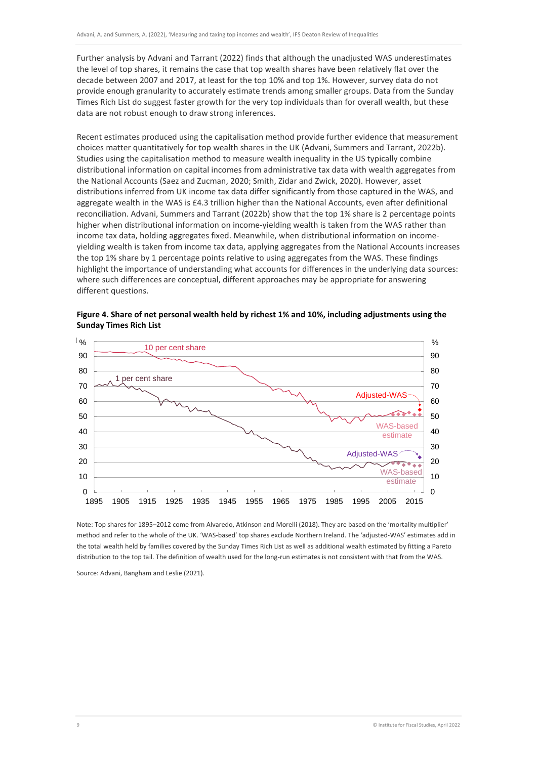Further analysis by Advani and Tarrant (2022) finds that although the unadjusted WAS underestimates the level of top shares, it remains the case that top wealth shares have been relatively flat over the decade between 2007 and 2017, at least for the top 10% and top 1%. However, survey data do not provide enough granularity to accurately estimate trends among smaller groups. Data from the Sunday Times Rich List do suggest faster growth for the very top individuals than for overall wealth, but these data are not robust enough to draw strong inferences.

Recent estimates produced using the capitalisation method provide further evidence that measurement choices matter quantitatively for top wealth shares in the UK (Advani, Summers and Tarrant, 2022b). Studies using the capitalisation method to measure wealth inequality in the US typically combine distributional information on capital incomes from administrative tax data with wealth aggregates from the National Accounts (Saez and Zucman, 2020; Smith, Zidar and Zwick, 2020). However, asset distributions inferred from UK income tax data differ significantly from those captured in the WAS, and aggregate wealth in the WAS is £4.3 trillion higher than the National Accounts, even after definitional reconciliation. Advani, Summers and Tarrant (2022b) show that the top 1% share is 2 percentage points higher when distributional information on income-yielding wealth is taken from the WAS rather than income tax data, holding aggregates fixed. Meanwhile, when distributional information on incomeyielding wealth is taken from income tax data, applying aggregates from the National Accounts increases the top 1% share by 1 percentage points relative to using aggregates from the WAS. These findings highlight the importance of understanding what accounts for differences in the underlying data sources: where such differences are conceptual, different approaches may be appropriate for answering different questions.



**Figure 4. Share of net personal wealth held by richest 1% and 10%, including adjustments using the Sunday Times Rich List**

Note: Top shares for 1895–2012 come from Alvaredo, Atkinson and Morelli (2018). They are based on the 'mortality multiplier' method and refer to the whole of the UK. 'WAS-based' top shares exclude Northern Ireland. The 'adjusted-WAS' estimates add in the total wealth held by families covered by the Sunday Times Rich List as well as additional wealth estimated by fitting a Pareto distribution to the top tail. The definition of wealth used for the long-run estimates is not consistent with that from the WAS.

Source: Advani, Bangham and Leslie (2021).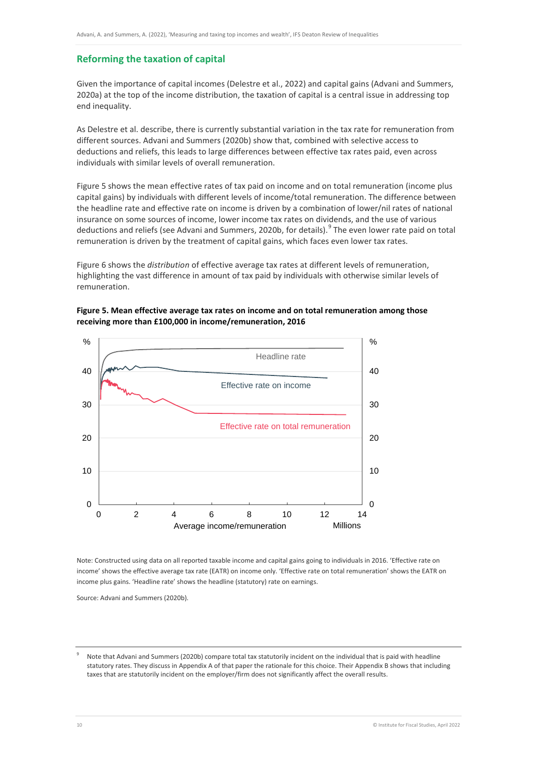# **Reforming the taxation of capital**

Given the importance of capital incomes (Delestre et al., 2022) and capital gains (Advani and Summers, 2020a) at the top of the income distribution, the taxation of capital is a central issue in addressing top end inequality.

As Delestre et al. describe, there is currently substantial variation in the tax rate for remuneration from different sources. Advani and Summers (2020b) show that, combined with selective access to deductions and reliefs, this leads to large differences between effective tax rates paid, even across individuals with similar levels of overall remuneration.

Figure 5 shows the mean effective rates of tax paid on income and on total remuneration (income plus capital gains) by individuals with different levels of income/total remuneration. The difference between the headline rate and effective rate on income is driven by a combination of lower/nil rates of national insurance on some sources of income, lower income tax rates on dividends, and the use of various deductions and reliefs (see Advani and Summers, 2020b, for details).<sup>[9](#page-10-0)</sup> The even lower rate paid on total remuneration is driven by the treatment of capital gains, which faces even lower tax rates.

Figure 6 shows the *distribution* of effective average tax rates at different levels of remuneration, highlighting the vast difference in amount of tax paid by individuals with otherwise similar levels of remuneration.





Note: Constructed using data on all reported taxable income and capital gains going to individuals in 2016. 'Effective rate on income' shows the effective average tax rate (EATR) on income only. 'Effective rate on total remuneration' shows the EATR on income plus gains. 'Headline rate' shows the headline (statutory) rate on earnings.

Source: Advani and Summers (2020b).

<span id="page-10-0"></span>Note that Advani and Summers (2020b) compare total tax statutorily incident on the individual that is paid with headline statutory rates. They discuss in Appendix A of that paper the rationale for this choice. Their Appendix B shows that including taxes that are statutorily incident on the employer/firm does not significantly affect the overall results.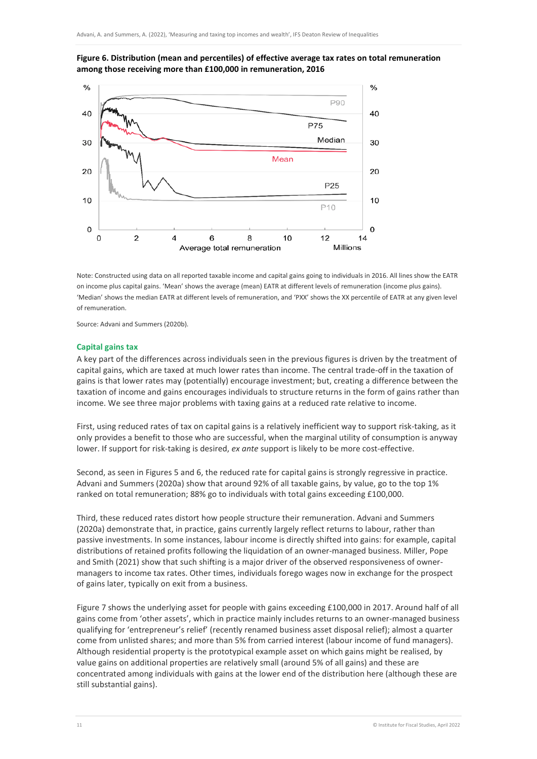

**Figure 6. Distribution (mean and percentiles) of effective average tax rates on total remuneration among those receiving more than £100,000 in remuneration, 2016**

Note: Constructed using data on all reported taxable income and capital gains going to individuals in 2016. All lines show the EATR on income plus capital gains. 'Mean' shows the average (mean) EATR at different levels of remuneration (income plus gains). 'Median' shows the median EATR at different levels of remuneration, and 'PXX' shows the XX percentile of EATR at any given level of remuneration.

Source: Advani and Summers (2020b).

#### **Capital gains tax**

A key part of the differences across individuals seen in the previous figures is driven by the treatment of capital gains, which are taxed at much lower rates than income. The central trade-off in the taxation of gains is that lower rates may (potentially) encourage investment; but, creating a difference between the taxation of income and gains encourages individuals to structure returns in the form of gains rather than income. We see three major problems with taxing gains at a reduced rate relative to income.

First, using reduced rates of tax on capital gains is a relatively inefficient way to support risk-taking, as it only provides a benefit to those who are successful, when the marginal utility of consumption is anyway lower. If support for risk-taking is desired, *ex ante* support is likely to be more cost-effective.

Second, as seen in Figures 5 and 6, the reduced rate for capital gains is strongly regressive in practice. Advani and Summers (2020a) show that around 92% of all taxable gains, by value, go to the top 1% ranked on total remuneration; 88% go to individuals with total gains exceeding £100,000.

Third, these reduced rates distort how people structure their remuneration. Advani and Summers (2020a) demonstrate that, in practice, gains currently largely reflect returns to labour, rather than passive investments. In some instances, labour income is directly shifted into gains: for example, capital distributions of retained profits following the liquidation of an owner-managed business. Miller, Pope and Smith (2021) show that such shifting is a major driver of the observed responsiveness of ownermanagers to income tax rates. Other times, individuals forego wages now in exchange for the prospect of gains later, typically on exit from a business.

Figure 7 shows the underlying asset for people with gains exceeding £100,000 in 2017. Around half of all gains come from 'other assets', which in practice mainly includes returns to an owner-managed business qualifying for 'entrepreneur's relief' (recently renamed business asset disposal relief); almost a quarter come from unlisted shares; and more than 5% from carried interest (labour income of fund managers). Although residential property is the prototypical example asset on which gains might be realised, by value gains on additional properties are relatively small (around 5% of all gains) and these are concentrated among individuals with gains at the lower end of the distribution here (although these are still substantial gains).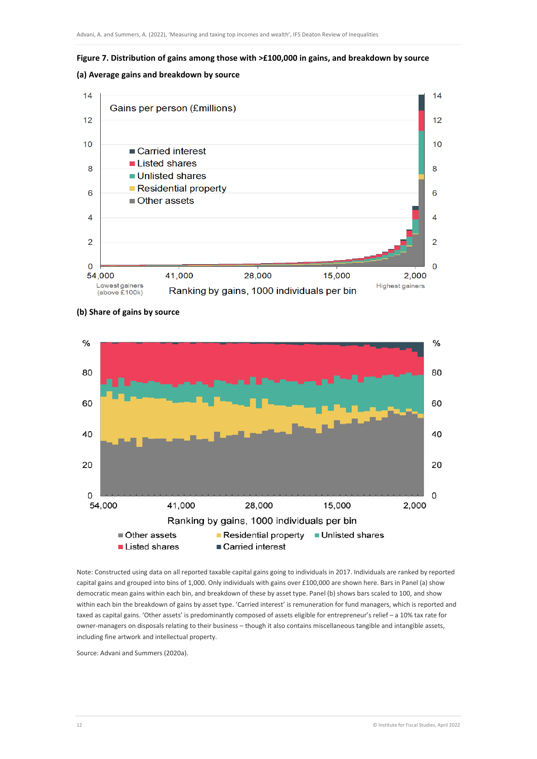

# **(a) Average gains and breakdown by source**





**(b) Share of gains by source**

Note: Constructed using data on all reported taxable capital gains going to individuals in 2017. Individuals are ranked by reported capital gains and grouped into bins of 1,000. Only individuals with gains over £100,000 are shown here. Bars in Panel (a) show democratic mean gains within each bin, and breakdown of these by asset type. Panel (b) shows bars scaled to 100, and show within each bin the breakdown of gains by asset type. 'Carried interest' is remuneration for fund managers, which is reported and taxed as capital gains. 'Other assets' is predominantly composed of assets eligible for entrepreneur's relief – a 10% tax rate for owner-managers on disposals relating to their business – though it also contains miscellaneous tangible and intangible assets, including fine artwork and intellectual property.

Carried interest

Source: Advani and Summers (2020a).

Listed shares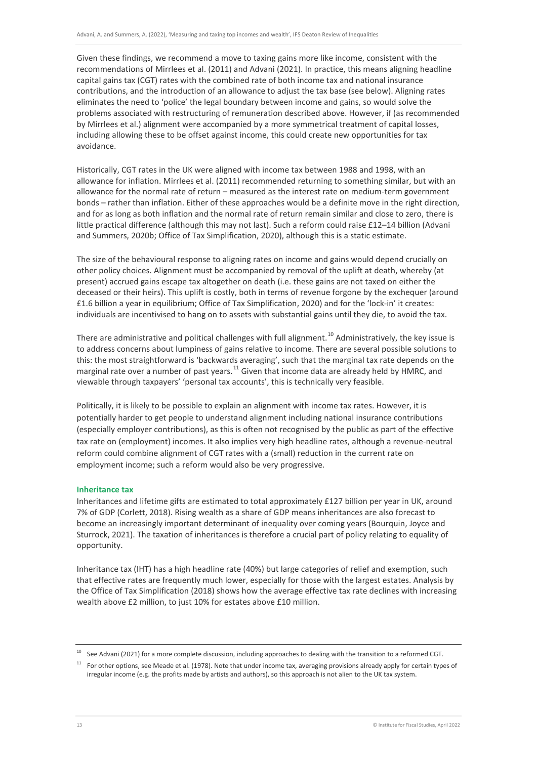Given these findings, we recommend a move to taxing gains more like income, consistent with the recommendations of Mirrlees et al. (2011) and Advani (2021). In practice, this means aligning headline capital gains tax (CGT) rates with the combined rate of both income tax and national insurance contributions, and the introduction of an allowance to adjust the tax base (see below). Aligning rates eliminates the need to 'police' the legal boundary between income and gains, so would solve the problems associated with restructuring of remuneration described above. However, if (as recommended by Mirrlees et al.) alignment were accompanied by a more symmetrical treatment of capital losses, including allowing these to be offset against income, this could create new opportunities for tax avoidance.

Historically, CGT rates in the UK were aligned with income tax between 1988 and 1998, with an allowance for inflation. Mirrlees et al. (2011) recommended returning to something similar, but with an allowance for the normal rate of return – measured as the interest rate on medium-term government bonds – rather than inflation. Either of these approaches would be a definite move in the right direction, and for as long as both inflation and the normal rate of return remain similar and close to zero, there is little practical difference (although this may not last). Such a reform could raise £12–14 billion (Advani and Summers, 2020b; Office of Tax Simplification, 2020), although this is a static estimate.

The size of the behavioural response to aligning rates on income and gains would depend crucially on other policy choices. Alignment must be accompanied by removal of the uplift at death, whereby (at present) accrued gains escape tax altogether on death (i.e. these gains are not taxed on either the deceased or their heirs). This uplift is costly, both in terms of revenue forgone by the exchequer (around £1.6 billion a year in equilibrium; Office of Tax Simplification, 2020) and for the 'lock-in' it creates: individuals are incentivised to hang on to assets with substantial gains until they die, to avoid the tax.

There are administrative and political challenges with full alignment.<sup>[10](#page-13-0)</sup> Administratively, the key issue is to address concerns about lumpiness of gains relative to income. There are several possible solutions to this: the most straightforward is 'backwards averaging', such that the marginal tax rate depends on the marginal rate over a number of past years.<sup>[11](#page-13-1)</sup> Given that income data are already held by HMRC, and viewable through taxpayers' 'personal tax accounts', this is technically very feasible.

Politically, it is likely to be possible to explain an alignment with income tax rates. However, it is potentially harder to get people to understand alignment including national insurance contributions (especially employer contributions), as this is often not recognised by the public as part of the effective tax rate on (employment) incomes. It also implies very high headline rates, although a revenue-neutral reform could combine alignment of CGT rates with a (small) reduction in the current rate on employment income; such a reform would also be very progressive.

#### **Inheritance tax**

Inheritances and lifetime gifts are estimated to total approximately £127 billion per year in UK, around 7% of GDP (Corlett, 2018). Rising wealth as a share of GDP means inheritances are also forecast to become an increasingly important determinant of inequality over coming years (Bourquin, Joyce and Sturrock, 2021). The taxation of inheritances is therefore a crucial part of policy relating to equality of opportunity.

Inheritance tax (IHT) has a high headline rate (40%) but large categories of relief and exemption, such that effective rates are frequently much lower, especially for those with the largest estates. Analysis by the Office of Tax Simplification (2018) shows how the average effective tax rate declines with increasing wealth above £2 million, to just 10% for estates above £10 million.

<sup>&</sup>lt;sup>10</sup> See Advani (2021) for a more complete discussion, including approaches to dealing with the transition to a reformed CGT.

<span id="page-13-1"></span><span id="page-13-0"></span><sup>&</sup>lt;sup>11</sup> For other options, see Meade et al. (1978). Note that under income tax, averaging provisions already apply for certain types of irregular income (e.g. the profits made by artists and authors), so this approach is not alien to the UK tax system.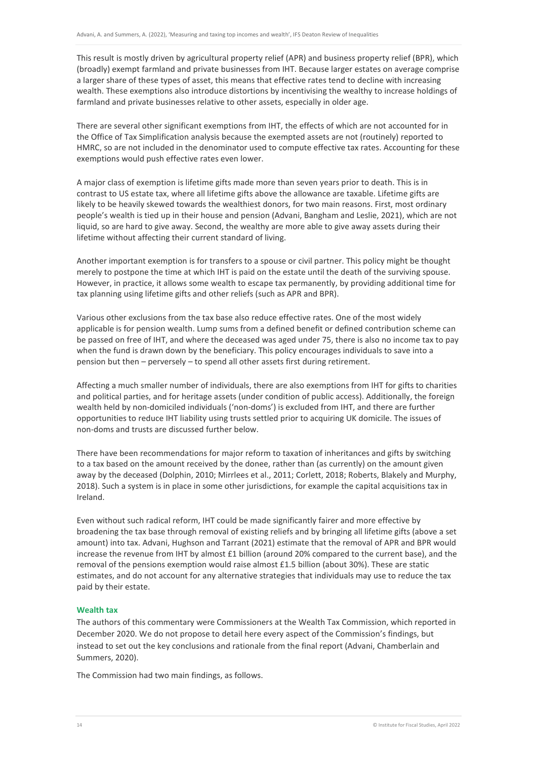This result is mostly driven by agricultural property relief (APR) and business property relief (BPR), which (broadly) exempt farmland and private businesses from IHT. Because larger estates on average comprise a larger share of these types of asset, this means that effective rates tend to decline with increasing wealth. These exemptions also introduce distortions by incentivising the wealthy to increase holdings of farmland and private businesses relative to other assets, especially in older age.

There are several other significant exemptions from IHT, the effects of which are not accounted for in the Office of Tax Simplification analysis because the exempted assets are not (routinely) reported to HMRC, so are not included in the denominator used to compute effective tax rates. Accounting for these exemptions would push effective rates even lower.

A major class of exemption is lifetime gifts made more than seven years prior to death. This is in contrast to US estate tax, where all lifetime gifts above the allowance are taxable. Lifetime gifts are likely to be heavily skewed towards the wealthiest donors, for two main reasons. First, most ordinary people's wealth is tied up in their house and pension (Advani, Bangham and Leslie, 2021), which are not liquid, so are hard to give away. Second, the wealthy are more able to give away assets during their lifetime without affecting their current standard of living.

Another important exemption is for transfers to a spouse or civil partner. This policy might be thought merely to postpone the time at which IHT is paid on the estate until the death of the surviving spouse. However, in practice, it allows some wealth to escape tax permanently, by providing additional time for tax planning using lifetime gifts and other reliefs (such as APR and BPR).

Various other exclusions from the tax base also reduce effective rates. One of the most widely applicable is for pension wealth. Lump sums from a defined benefit or defined contribution scheme can be passed on free of IHT, and where the deceased was aged under 75, there is also no income tax to pay when the fund is drawn down by the beneficiary. This policy encourages individuals to save into a pension but then – perversely – to spend all other assets first during retirement.

Affecting a much smaller number of individuals, there are also exemptions from IHT for gifts to charities and political parties, and for heritage assets (under condition of public access). Additionally, the foreign wealth held by non-domiciled individuals ('non-doms') is excluded from IHT, and there are further opportunities to reduce IHT liability using trusts settled prior to acquiring UK domicile. The issues of non-doms and trusts are discussed further below.

There have been recommendations for major reform to taxation of inheritances and gifts by switching to a tax based on the amount received by the donee, rather than (as currently) on the amount given away by the deceased (Dolphin, 2010; Mirrlees et al., 2011; Corlett, 2018; Roberts, Blakely and Murphy, 2018). Such a system is in place in some other jurisdictions, for example the capital acquisitions tax in Ireland.

Even without such radical reform, IHT could be made significantly fairer and more effective by broadening the tax base through removal of existing reliefs and by bringing all lifetime gifts (above a set amount) into tax. Advani, Hughson and Tarrant (2021) estimate that the removal of APR and BPR would increase the revenue from IHT by almost £1 billion (around 20% compared to the current base), and the removal of the pensions exemption would raise almost £1.5 billion (about 30%). These are static estimates, and do not account for any alternative strategies that individuals may use to reduce the tax paid by their estate.

#### **Wealth tax**

The authors of this commentary were Commissioners at the Wealth Tax Commission, which reported in December 2020. We do not propose to detail here every aspect of the Commission's findings, but instead to set out the key conclusions and rationale from the final report (Advani, Chamberlain and Summers, 2020).

The Commission had two main findings, as follows.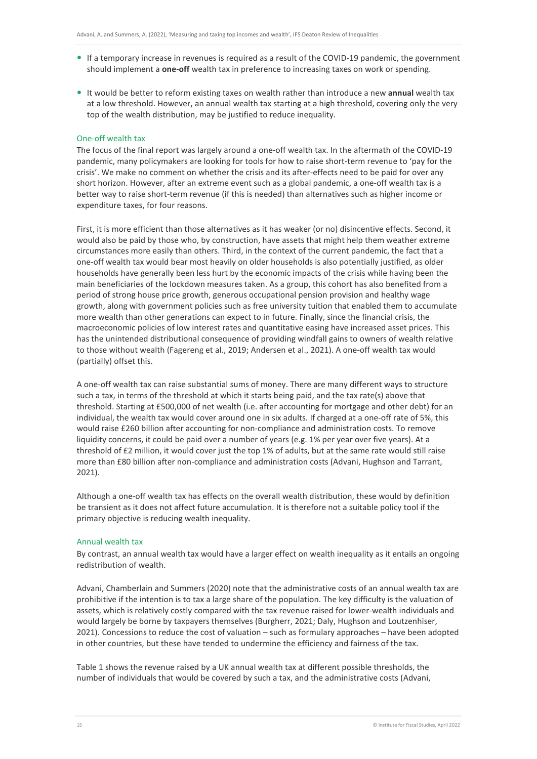- If a temporary increase in revenues is required as a result of the COVID-19 pandemic, the government should implement a **one-off** wealth tax in preference to increasing taxes on work or spending.
- It would be better to reform existing taxes on wealth rather than introduce a new **annual** wealth tax at a low threshold. However, an annual wealth tax starting at a high threshold, covering only the very top of the wealth distribution, may be justified to reduce inequality.

#### One-off wealth tax

The focus of the final report was largely around a one-off wealth tax. In the aftermath of the COVID-19 pandemic, many policymakers are looking for tools for how to raise short-term revenue to 'pay for the crisis'. We make no comment on whether the crisis and its after-effects need to be paid for over any short horizon. However, after an extreme event such as a global pandemic, a one-off wealth tax is a better way to raise short-term revenue (if this is needed) than alternatives such as higher income or expenditure taxes, for four reasons.

First, it is more efficient than those alternatives as it has weaker (or no) disincentive effects. Second, it would also be paid by those who, by construction, have assets that might help them weather extreme circumstances more easily than others. Third, in the context of the current pandemic, the fact that a one-off wealth tax would bear most heavily on older households is also potentially justified, as older households have generally been less hurt by the economic impacts of the crisis while having been the main beneficiaries of the lockdown measures taken. As a group, this cohort has also benefited from a period of strong house price growth, generous occupational pension provision and healthy wage growth, along with government policies such as free university tuition that enabled them to accumulate more wealth than other generations can expect to in future. Finally, since the financial crisis, the macroeconomic policies of low interest rates and quantitative easing have increased asset prices. This has the unintended distributional consequence of providing windfall gains to owners of wealth relative to those without wealth (Fagereng et al., 2019; Andersen et al., 2021). A one-off wealth tax would (partially) offset this.

A one-off wealth tax can raise substantial sums of money. There are many different ways to structure such a tax, in terms of the threshold at which it starts being paid, and the tax rate(s) above that threshold. Starting at £500,000 of net wealth (i.e. after accounting for mortgage and other debt) for an individual, the wealth tax would cover around one in six adults. If charged at a one-off rate of 5%, this would raise £260 billion after accounting for non-compliance and administration costs. To remove liquidity concerns, it could be paid over a number of years (e.g. 1% per year over five years). At a threshold of £2 million, it would cover just the top 1% of adults, but at the same rate would still raise more than £80 billion after non-compliance and administration costs (Advani, Hughson and Tarrant, 2021).

Although a one-off wealth tax has effects on the overall wealth distribution, these would by definition be transient as it does not affect future accumulation. It is therefore not a suitable policy tool if the primary objective is reducing wealth inequality.

#### Annual wealth tax

By contrast, an annual wealth tax would have a larger effect on wealth inequality as it entails an ongoing redistribution of wealth.

Advani, Chamberlain and Summers (2020) note that the administrative costs of an annual wealth tax are prohibitive if the intention is to tax a large share of the population. The key difficulty is the valuation of assets, which is relatively costly compared with the tax revenue raised for lower-wealth individuals and would largely be borne by taxpayers themselves (Burgherr, 2021; Daly, Hughson and Loutzenhiser, 2021). Concessions to reduce the cost of valuation – such as formulary approaches – have been adopted in other countries, but these have tended to undermine the efficiency and fairness of the tax.

Table 1 shows the revenue raised by a UK annual wealth tax at different possible thresholds, the number of individuals that would be covered by such a tax, and the administrative costs (Advani,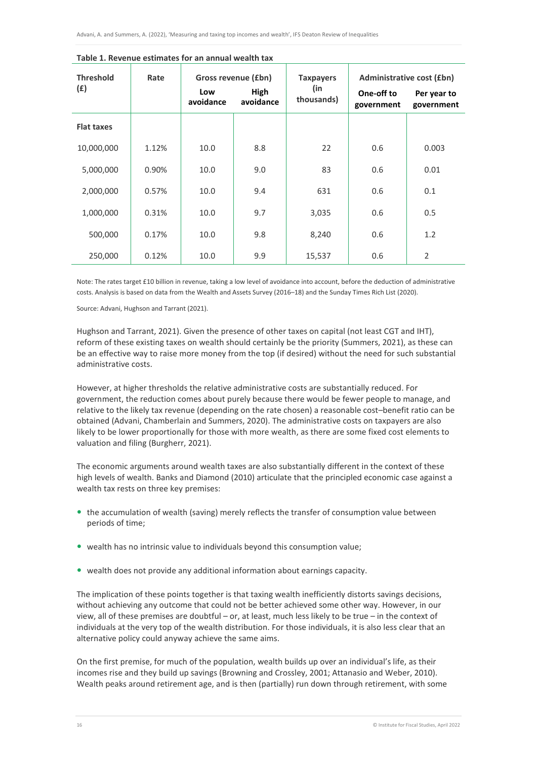| <b>Threshold</b><br>(E) | Rate  | Gross revenue (£bn) |                   | <b>Taxpayers</b>  | <b>Administrative cost (£bn)</b> |                           |
|-------------------------|-------|---------------------|-------------------|-------------------|----------------------------------|---------------------------|
|                         |       | Low<br>avoidance    | High<br>avoidance | (in<br>thousands) | One-off to<br>government         | Per year to<br>government |
| <b>Flat taxes</b>       |       |                     |                   |                   |                                  |                           |
| 10,000,000              | 1.12% | 10.0                | 8.8               | 22                | 0.6                              | 0.003                     |
| 5,000,000               | 0.90% | 10.0                | 9.0               | 83                | 0.6                              | 0.01                      |
| 2,000,000               | 0.57% | 10.0                | 9.4               | 631               | 0.6                              | 0.1                       |
| 1,000,000               | 0.31% | 10.0                | 9.7               | 3,035             | 0.6                              | 0.5                       |
| 500,000                 | 0.17% | 10.0                | 9.8               | 8,240             | 0.6                              | 1.2                       |
| 250,000                 | 0.12% | 10.0                | 9.9               | 15,537            | 0.6                              | $\overline{2}$            |

#### **Table 1. Revenue estimates for an annual wealth tax**

Note: The rates target £10 billion in revenue, taking a low level of avoidance into account, before the deduction of administrative costs. Analysis is based on data from the Wealth and Assets Survey (2016–18) and the Sunday Times Rich List (2020).

Source: Advani, Hughson and Tarrant (2021).

Hughson and Tarrant, 2021). Given the presence of other taxes on capital (not least CGT and IHT), reform of these existing taxes on wealth should certainly be the priority (Summers, 2021), as these can be an effective way to raise more money from the top (if desired) without the need for such substantial administrative costs.

However, at higher thresholds the relative administrative costs are substantially reduced. For government, the reduction comes about purely because there would be fewer people to manage, and relative to the likely tax revenue (depending on the rate chosen) a reasonable cost–benefit ratio can be obtained (Advani, Chamberlain and Summers, 2020). The administrative costs on taxpayers are also likely to be lower proportionally for those with more wealth, as there are some fixed cost elements to valuation and filing (Burgherr, 2021).

The economic arguments around wealth taxes are also substantially different in the context of these high levels of wealth. Banks and Diamond (2010) articulate that the principled economic case against a wealth tax rests on three key premises:

- the accumulation of wealth (saving) merely reflects the transfer of consumption value between periods of time;
- wealth has no intrinsic value to individuals beyond this consumption value;
- wealth does not provide any additional information about earnings capacity.

The implication of these points together is that taxing wealth inefficiently distorts savings decisions, without achieving any outcome that could not be better achieved some other way. However, in our view, all of these premises are doubtful – or, at least, much less likely to be true – in the context of individuals at the very top of the wealth distribution. For those individuals, it is also less clear that an alternative policy could anyway achieve the same aims.

On the first premise, for much of the population, wealth builds up over an individual's life, as their incomes rise and they build up savings (Browning and Crossley, 2001; Attanasio and Weber, 2010). Wealth peaks around retirement age, and is then (partially) run down through retirement, with some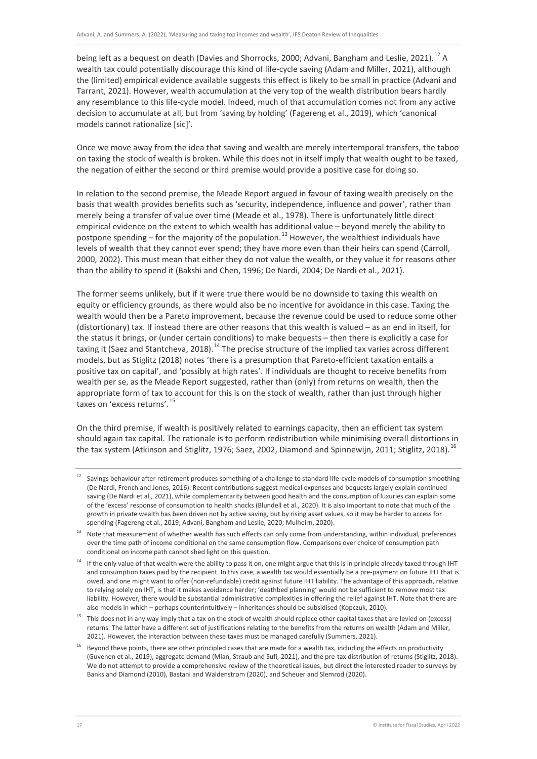being left as a bequest on death (Davies and Shorrocks, 2000; Advani, Bangham and Leslie, 2021).<sup>[12](#page-17-0)</sup> A wealth tax could potentially discourage this kind of life-cycle saving (Adam and Miller, 2021), although the (limited) empirical evidence available suggests this effect is likely to be small in practice (Advani and Tarrant, 2021). However, wealth accumulation at the very top of the wealth distribution bears hardly any resemblance to this life-cycle model. Indeed, much of that accumulation comes not from any active decision to accumulate at all, but from 'saving by holding' (Fagereng et al., 2019), which 'canonical models cannot rationalize [sic]'.

Once we move away from the idea that saving and wealth are merely intertemporal transfers, the taboo on taxing the stock of wealth is broken. While this does not in itself imply that wealth ought to be taxed, the negation of either the second or third premise would provide a positive case for doing so.

In relation to the second premise, the Meade Report argued in favour of taxing wealth precisely on the basis that wealth provides benefits such as 'security, independence, influence and power', rather than merely being a transfer of value over time (Meade et al., 1978). There is unfortunately little direct empirical evidence on the extent to which wealth has additional value – beyond merely the ability to postpone spending – for the majority of the population.<sup>[13](#page-17-1)</sup> However, the wealthiest individuals have levels of wealth that they cannot ever spend; they have more even than their heirs can spend (Carroll, 2000, 2002). This must mean that either they do not value the wealth, or they value it for reasons other than the ability to spend it (Bakshi and Chen, 1996; De Nardi, 2004; De Nardi et al., 2021).

The former seems unlikely, but if it were true there would be no downside to taxing this wealth on equity or efficiency grounds, as there would also be no incentive for avoidance in this case. Taxing the wealth would then be a Pareto improvement, because the revenue could be used to reduce some other (distortionary) tax. If instead there are other reasons that this wealth is valued – as an end in itself, for the status it brings, or (under certain conditions) to make bequests – then there is explicitly a case for taxing it (Saez and Stantcheva, 2018).<sup>[14](#page-17-2)</sup> The precise structure of the implied tax varies across different models, but as Stiglitz (2018) notes 'there is a presumption that Pareto-efficient taxation entails a positive tax on capital', and 'possibly at high rates'. If individuals are thought to receive benefits from wealth per se, as the Meade Report suggested, rather than (only) from returns on wealth, then the appropriate form of tax to account for this is on the stock of wealth, rather than just through higher taxes on 'excess returns'.<sup>[15](#page-17-3)</sup>

On the third premise, if wealth is positively related to earnings capacity, then an efficient tax system should again tax capital. The rationale is to perform redistribution while minimising overall distortions in the tax system (Atkinson and Stiglitz, 1976; Saez, 2002, Diamond and Spinnewijn, 2011; Stiglitz, 2018).<sup>[16](#page-17-4)</sup>

<span id="page-17-0"></span><sup>&</sup>lt;sup>12</sup> Savings behaviour after retirement produces something of a challenge to standard life-cycle models of consumption smoothing (De Nardi, French and Jones, 2016). Recent contributions suggest medical expenses and bequests largely explain continued saving (De Nardi et al., 2021), while complementarity between good health and the consumption of luxuries can explain some of the 'excess' response of consumption to health shocks (Blundell et al., 2020). It is also important to note that much of the growth in private wealth has been driven not by active saving, but by rising asset values, so it may be harder to access for spending (Fagereng et al., 2019; Advani, Bangham and Leslie, 2020; Mulheirn, 2020).

<span id="page-17-1"></span><sup>&</sup>lt;sup>13</sup> Note that measurement of whether wealth has such effects can only come from understanding, within individual, preferences over the time path of income conditional on the same consumption flow. Comparisons over choice of consumption path conditional on income path cannot shed light on this question.

<span id="page-17-2"></span> $14$  If the only value of that wealth were the ability to pass it on, one might argue that this is in principle already taxed through IHT and consumption taxes paid by the recipient. In this case, a wealth tax would essentially be a pre-payment on future IHT that is owed, and one might want to offer (non-refundable) credit against future IHT liability. The advantage of this approach, relative to relying solely on IHT, is that it makes avoidance harder; 'deathbed planning' would not be sufficient to remove most tax liability. However, there would be substantial administrative complexities in offering the relief against IHT. Note that there are also models in which – perhaps counterintuitively – inheritances should be subsidised (Kopczuk, 2010).

<span id="page-17-3"></span><sup>&</sup>lt;sup>15</sup> This does not in any way imply that a tax on the stock of wealth should replace other capital taxes that are levied on (excess) returns. The latter have a different set of justifications relating to the benefits from the returns on wealth (Adam and Miller, 2021). However, the interaction between these taxes must be managed carefully (Summers, 2021).

<span id="page-17-4"></span><sup>&</sup>lt;sup>16</sup> Bevond these points, there are other principled cases that are made for a wealth tax, including the effects on productivity (Guvenen et al., 2019), aggregate demand (Mian, Straub and Sufi, 2021), and the pre-tax distribution of returns (Stiglitz, 2018). We do not attempt to provide a comprehensive review of the theoretical issues, but direct the interested reader to surveys by Banks and Diamond (2010), Bastani and Waldenstrom (2020), and Scheuer and Slemrod (2020).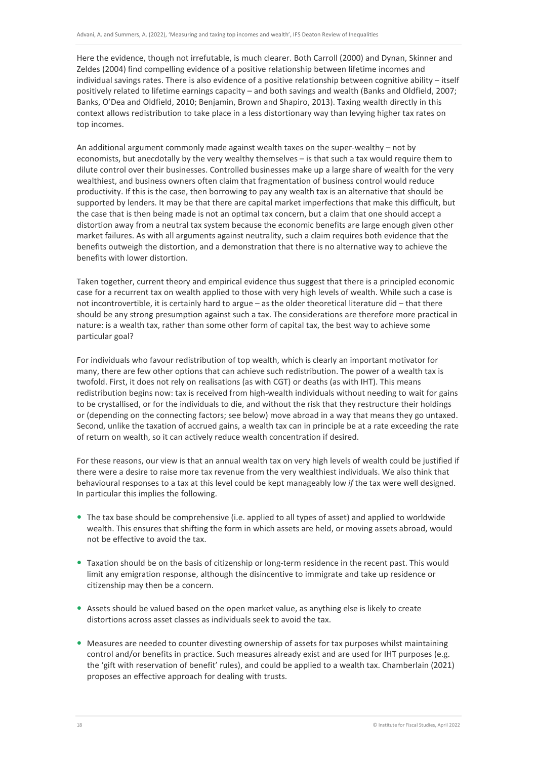Here the evidence, though not irrefutable, is much clearer. Both Carroll (2000) and Dynan, Skinner and Zeldes (2004) find compelling evidence of a positive relationship between lifetime incomes and individual savings rates. There is also evidence of a positive relationship between cognitive ability – itself positively related to lifetime earnings capacity – and both savings and wealth (Banks and Oldfield, 2007; Banks, O'Dea and Oldfield, 2010; Benjamin, Brown and Shapiro, 2013). Taxing wealth directly in this context allows redistribution to take place in a less distortionary way than levying higher tax rates on top incomes.

An additional argument commonly made against wealth taxes on the super-wealthy – not by economists, but anecdotally by the very wealthy themselves – is that such a tax would require them to dilute control over their businesses. Controlled businesses make up a large share of wealth for the very wealthiest, and business owners often claim that fragmentation of business control would reduce productivity. If this is the case, then borrowing to pay any wealth tax is an alternative that should be supported by lenders. It may be that there are capital market imperfections that make this difficult, but the case that is then being made is not an optimal tax concern, but a claim that one should accept a distortion away from a neutral tax system because the economic benefits are large enough given other market failures. As with all arguments against neutrality, such a claim requires both evidence that the benefits outweigh the distortion, and a demonstration that there is no alternative way to achieve the benefits with lower distortion.

Taken together, current theory and empirical evidence thus suggest that there is a principled economic case for a recurrent tax on wealth applied to those with very high levels of wealth. While such a case is not incontrovertible, it is certainly hard to argue – as the older theoretical literature did – that there should be any strong presumption against such a tax. The considerations are therefore more practical in nature: is a wealth tax, rather than some other form of capital tax, the best way to achieve some particular goal?

For individuals who favour redistribution of top wealth, which is clearly an important motivator for many, there are few other options that can achieve such redistribution. The power of a wealth tax is twofold. First, it does not rely on realisations (as with CGT) or deaths (as with IHT). This means redistribution begins now: tax is received from high-wealth individuals without needing to wait for gains to be crystallised, or for the individuals to die, and without the risk that they restructure their holdings or (depending on the connecting factors; see below) move abroad in a way that means they go untaxed. Second, unlike the taxation of accrued gains, a wealth tax can in principle be at a rate exceeding the rate of return on wealth, so it can actively reduce wealth concentration if desired.

For these reasons, our view is that an annual wealth tax on very high levels of wealth could be justified if there were a desire to raise more tax revenue from the very wealthiest individuals. We also think that behavioural responses to a tax at this level could be kept manageably low *if* the tax were well designed. In particular this implies the following.

- The tax base should be comprehensive (i.e. applied to all types of asset) and applied to worldwide wealth. This ensures that shifting the form in which assets are held, or moving assets abroad, would not be effective to avoid the tax.
- Taxation should be on the basis of citizenship or long-term residence in the recent past. This would limit any emigration response, although the disincentive to immigrate and take up residence or citizenship may then be a concern.
- Assets should be valued based on the open market value, as anything else is likely to create distortions across asset classes as individuals seek to avoid the tax.
- Measures are needed to counter divesting ownership of assets for tax purposes whilst maintaining control and/or benefits in practice. Such measures already exist and are used for IHT purposes (e.g. the 'gift with reservation of benefit' rules), and could be applied to a wealth tax. Chamberlain (2021) proposes an effective approach for dealing with trusts.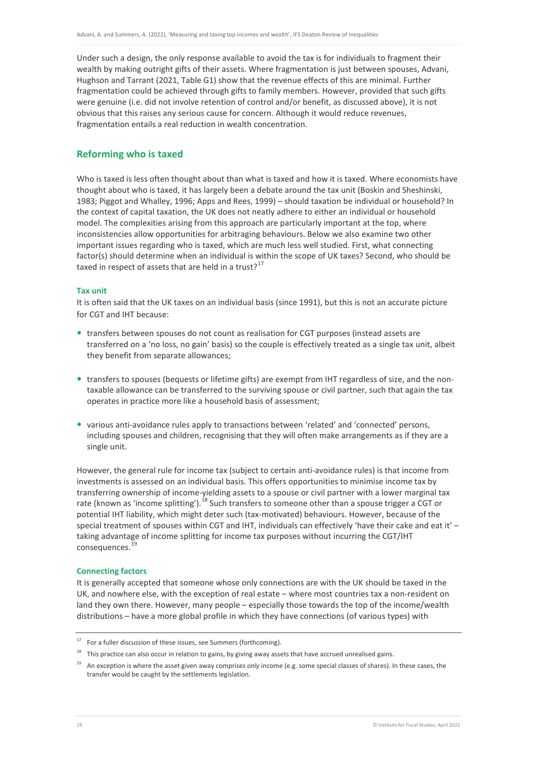Under such a design, the only response available to avoid the tax is for individuals to fragment their wealth by making outright gifts of their assets. Where fragmentation is just between spouses, Advani, Hughson and Tarrant (2021, Table G1) show that the revenue effects of this are minimal. Further fragmentation could be achieved through gifts to family members. However, provided that such gifts were genuine (i.e. did not involve retention of control and/or benefit, as discussed above), it is not obvious that this raises any serious cause for concern. Although it would reduce revenues, fragmentation entails a real reduction in wealth concentration.

# **Reforming who is taxed**

Who is taxed is less often thought about than what is taxed and how it is taxed. Where economists have thought about who is taxed, it has largely been a debate around the tax unit (Boskin and Sheshinski, 1983; Piggot and Whalley, 1996; Apps and Rees, 1999) – should taxation be individual or household? In the context of capital taxation, the UK does not neatly adhere to either an individual or household model. The complexities arising from this approach are particularly important at the top, where inconsistencies allow opportunities for arbitraging behaviours. Below we also examine two other important issues regarding who is taxed, which are much less well studied. First, what connecting factor(s) should determine when an individual is within the scope of UK taxes? Second, who should be taxed in respect of assets that are held in a trust? $17$ 

#### **Tax unit**

It is often said that the UK taxes on an individual basis (since 1991), but this is not an accurate picture for CGT and IHT because:

- transfers between spouses do not count as realisation for CGT purposes (instead assets are transferred on a 'no loss, no gain' basis) so the couple is effectively treated as a single tax unit, albeit they benefit from separate allowances;
- transfers to spouses (bequests or lifetime gifts) are exempt from IHT regardless of size, and the nontaxable allowance can be transferred to the surviving spouse or civil partner, such that again the tax operates in practice more like a household basis of assessment;
- various anti-avoidance rules apply to transactions between 'related' and 'connected' persons, including spouses and children, recognising that they will often make arrangements as if they are a single unit.

However, the general rule for income tax (subject to certain anti-avoidance rules) is that income from investments is assessed on an individual basis. This offers opportunities to minimise income tax by transferring ownership of income-yielding assets to a spouse or civil partner with a lower marginal tax rate (known as 'income splitting').<sup>[18](#page-19-1)</sup> Such transfers to someone other than a spouse trigger a CGT or potential IHT liability, which might deter such (tax-motivated) behaviours. However, because of the special treatment of spouses within CGT and IHT, individuals can effectively 'have their cake and eat it' – taking advantage of income splitting for income tax purposes without incurring the CGT/IHT consequences.<sup>[19](#page-19-2)</sup>

#### **Connecting factors**

It is generally accepted that someone whose only connections are with the UK should be taxed in the UK, and nowhere else, with the exception of real estate – where most countries tax a non-resident on land they own there. However, many people – especially those towards the top of the income/wealth distributions – have a more global profile in which they have connections (of various types) with

<span id="page-19-1"></span><span id="page-19-0"></span> $17$  For a fuller discussion of these issues, see Summers (forthcoming).

 $18$  This practice can also occur in relation to gains, by giving away assets that have accrued unrealised gains.

<span id="page-19-2"></span><sup>19</sup> An exception is where the asset given away comprises *only* income (e.g. some special classes of shares). In these cases, the transfer would be caught by the settlements legislation.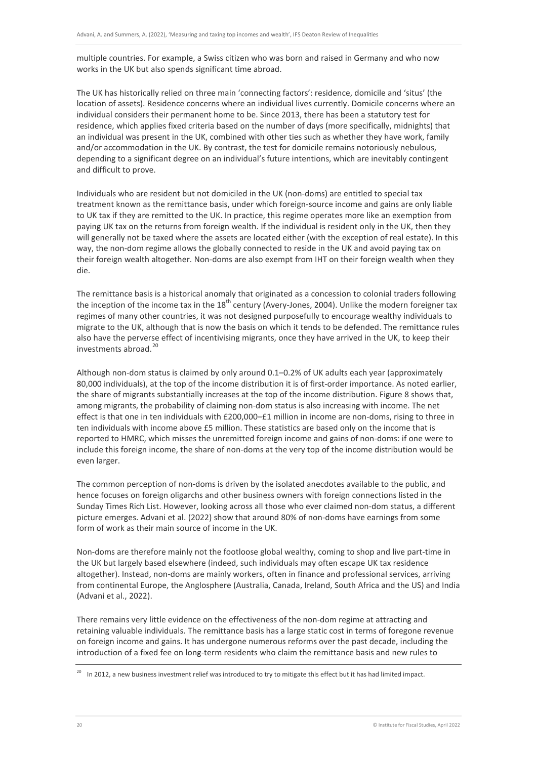multiple countries. For example, a Swiss citizen who was born and raised in Germany and who now works in the UK but also spends significant time abroad.

The UK has historically relied on three main 'connecting factors': residence, domicile and 'situs' (the location of assets). Residence concerns where an individual lives currently. Domicile concerns where an individual considers their permanent home to be. Since 2013, there has been a statutory test for residence, which applies fixed criteria based on the number of days (more specifically, midnights) that an individual was present in the UK, combined with other ties such as whether they have work, family and/or accommodation in the UK. By contrast, the test for domicile remains notoriously nebulous, depending to a significant degree on an individual's future intentions, which are inevitably contingent and difficult to prove.

Individuals who are resident but not domiciled in the UK (non-doms) are entitled to special tax treatment known as the remittance basis, under which foreign-source income and gains are only liable to UK tax if they are remitted to the UK. In practice, this regime operates more like an exemption from paying UK tax on the returns from foreign wealth. If the individual is resident only in the UK, then they will generally not be taxed where the assets are located either (with the exception of real estate). In this way, the non-dom regime allows the globally connected to reside in the UK and avoid paying tax on their foreign wealth altogether. Non-doms are also exempt from IHT on their foreign wealth when they die.

The remittance basis is a historical anomaly that originated as a concession to colonial traders following the inception of the income tax in the 18<sup>th</sup> century (Avery-Jones, 2004). Unlike the modern foreigner tax regimes of many other countries, it was not designed purposefully to encourage wealthy individuals to migrate to the UK, although that is now the basis on which it tends to be defended. The remittance rules also have the perverse effect of incentivising migrants, once they have arrived in the UK, to keep their investments abroad.<sup>[20](#page-20-0)</sup>

Although non-dom status is claimed by only around 0.1–0.2% of UK adults each year (approximately 80,000 individuals), at the top of the income distribution it is of first-order importance. As noted earlier, the share of migrants substantially increases at the top of the income distribution. Figure 8 shows that, among migrants, the probability of claiming non-dom status is also increasing with income. The net effect is that one in ten individuals with £200,000–£1 million in income are non-doms, rising to three in ten individuals with income above £5 million. These statistics are based only on the income that is reported to HMRC, which misses the unremitted foreign income and gains of non-doms: if one were to include this foreign income, the share of non-doms at the very top of the income distribution would be even larger.

The common perception of non-doms is driven by the isolated anecdotes available to the public, and hence focuses on foreign oligarchs and other business owners with foreign connections listed in the Sunday Times Rich List. However, looking across all those who ever claimed non-dom status, a different picture emerges. Advani et al. (2022) show that around 80% of non-doms have earnings from some form of work as their main source of income in the UK.

Non-doms are therefore mainly not the footloose global wealthy, coming to shop and live part-time in the UK but largely based elsewhere (indeed, such individuals may often escape UK tax residence altogether). Instead, non-doms are mainly workers, often in finance and professional services, arriving from continental Europe, the Anglosphere (Australia, Canada, Ireland, South Africa and the US) and India (Advani et al., 2022).

There remains very little evidence on the effectiveness of the non-dom regime at attracting and retaining valuable individuals. The remittance basis has a large static cost in terms of foregone revenue on foreign income and gains. It has undergone numerous reforms over the past decade, including the introduction of a fixed fee on long-term residents who claim the remittance basis and new rules to

<span id="page-20-0"></span> $20$  In 2012, a new business investment relief was introduced to try to mitigate this effect but it has had limited impact.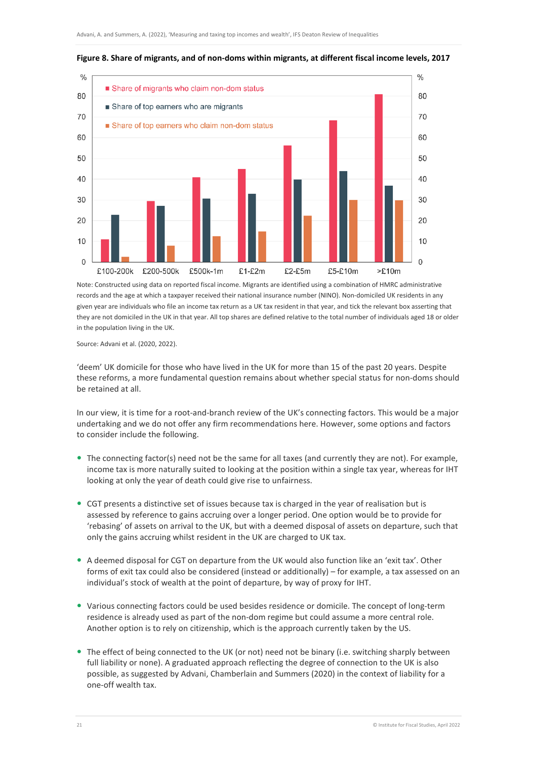

#### **Figure 8. Share of migrants, and of non-doms within migrants, at different fiscal income levels, 2017**

Note: Constructed using data on reported fiscal income. Migrants are identified using a combination of HMRC administrative records and the age at which a taxpayer received their national insurance number (NINO). Non-domiciled UK residents in any given year are individuals who file an income tax return as a UK tax resident in that year, and tick the relevant box asserting that they are not domiciled in the UK in that year. All top shares are defined relative to the total number of individuals aged 18 or older in the population living in the UK.

Source: Advani et al. (2020, 2022).

'deem' UK domicile for those who have lived in the UK for more than 15 of the past 20 years. Despite these reforms, a more fundamental question remains about whether special status for non-doms should be retained at all.

In our view, it is time for a root-and-branch review of the UK's connecting factors. This would be a major undertaking and we do not offer any firm recommendations here. However, some options and factors to consider include the following.

- The connecting factor(s) need not be the same for all taxes (and currently they are not). For example, income tax is more naturally suited to looking at the position within a single tax year, whereas for IHT looking at only the year of death could give rise to unfairness.
- CGT presents a distinctive set of issues because tax is charged in the year of realisation but is assessed by reference to gains accruing over a longer period. One option would be to provide for 'rebasing' of assets on arrival to the UK, but with a deemed disposal of assets on departure, such that only the gains accruing whilst resident in the UK are charged to UK tax.
- A deemed disposal for CGT on departure from the UK would also function like an 'exit tax'. Other forms of exit tax could also be considered (instead or additionally) – for example, a tax assessed on an individual's stock of wealth at the point of departure, by way of proxy for IHT.
- Various connecting factors could be used besides residence or domicile. The concept of long-term residence is already used as part of the non-dom regime but could assume a more central role. Another option is to rely on citizenship, which is the approach currently taken by the US.
- The effect of being connected to the UK (or not) need not be binary (i.e. switching sharply between full liability or none). A graduated approach reflecting the degree of connection to the UK is also possible, as suggested by Advani, Chamberlain and Summers (2020) in the context of liability for a one-off wealth tax.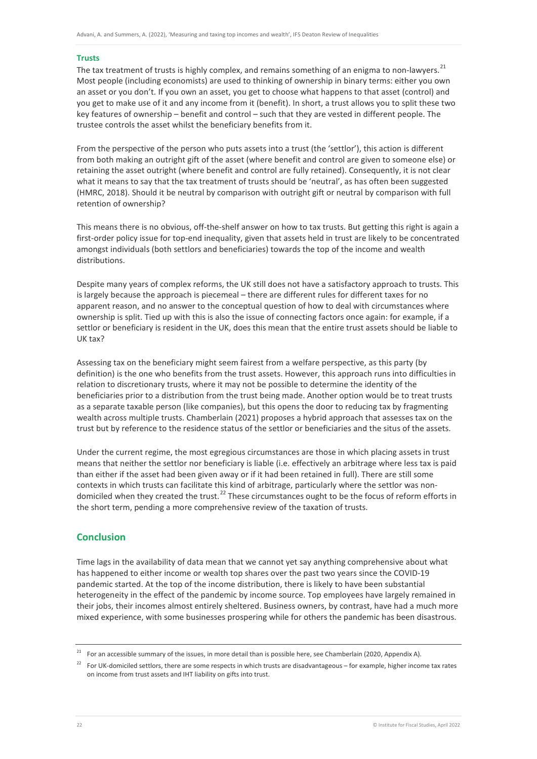#### **Trusts**

The tax treatment of trusts is highly complex, and remains something of an enigma to non-lawyers.<sup>[21](#page-22-0)</sup> Most people (including economists) are used to thinking of ownership in binary terms: either you own an asset or you don't. If you own an asset, you get to choose what happens to that asset (control) and you get to make use of it and any income from it (benefit). In short, a trust allows you to split these two key features of ownership – benefit and control – such that they are vested in different people. The trustee controls the asset whilst the beneficiary benefits from it.

From the perspective of the person who puts assets into a trust (the 'settlor'), this action is different from both making an outright gift of the asset (where benefit and control are given to someone else) or retaining the asset outright (where benefit and control are fully retained). Consequently, it is not clear what it means to say that the tax treatment of trusts should be 'neutral', as has often been suggested (HMRC, 2018). Should it be neutral by comparison with outright gift or neutral by comparison with full retention of ownership?

This means there is no obvious, off-the-shelf answer on how to tax trusts. But getting this right is again a first-order policy issue for top-end inequality, given that assets held in trust are likely to be concentrated amongst individuals (both settlors and beneficiaries) towards the top of the income and wealth distributions.

Despite many years of complex reforms, the UK still does not have a satisfactory approach to trusts. This is largely because the approach is piecemeal – there are different rules for different taxes for no apparent reason, and no answer to the conceptual question of how to deal with circumstances where ownership is split. Tied up with this is also the issue of connecting factors once again: for example, if a settlor or beneficiary is resident in the UK, does this mean that the entire trust assets should be liable to UK tax?

Assessing tax on the beneficiary might seem fairest from a welfare perspective, as this party (by definition) is the one who benefits from the trust assets. However, this approach runs into difficulties in relation to discretionary trusts, where it may not be possible to determine the identity of the beneficiaries prior to a distribution from the trust being made. Another option would be to treat trusts as a separate taxable person (like companies), but this opens the door to reducing tax by fragmenting wealth across multiple trusts. Chamberlain (2021) proposes a hybrid approach that assesses tax on the trust but by reference to the residence status of the settlor or beneficiaries and the situs of the assets.

Under the current regime, the most egregious circumstances are those in which placing assets in trust means that neither the settlor nor beneficiary is liable (i.e. effectively an arbitrage where less tax is paid than either if the asset had been given away or if it had been retained in full). There are still some contexts in which trusts can facilitate this kind of arbitrage, particularly where the settlor was non-domiciled when they created the trust.<sup>[22](#page-22-1)</sup> These circumstances ought to be the focus of reform efforts in the short term, pending a more comprehensive review of the taxation of trusts.

# **Conclusion**

Time lags in the availability of data mean that we cannot yet say anything comprehensive about what has happened to either income or wealth top shares over the past two years since the COVID-19 pandemic started. At the top of the income distribution, there is likely to have been substantial heterogeneity in the effect of the pandemic by income source. Top employees have largely remained in their jobs, their incomes almost entirely sheltered. Business owners, by contrast, have had a much more mixed experience, with some businesses prospering while for others the pandemic has been disastrous.

<span id="page-22-0"></span><sup>&</sup>lt;sup>21</sup> For an accessible summary of the issues, in more detail than is possible here, see Chamberlain (2020, Appendix A).

<span id="page-22-1"></span><sup>&</sup>lt;sup>22</sup> For UK-domiciled settlors, there are some respects in which trusts are disadvantageous – for example, higher income tax rates on income from trust assets and IHT liability on gifts into trust.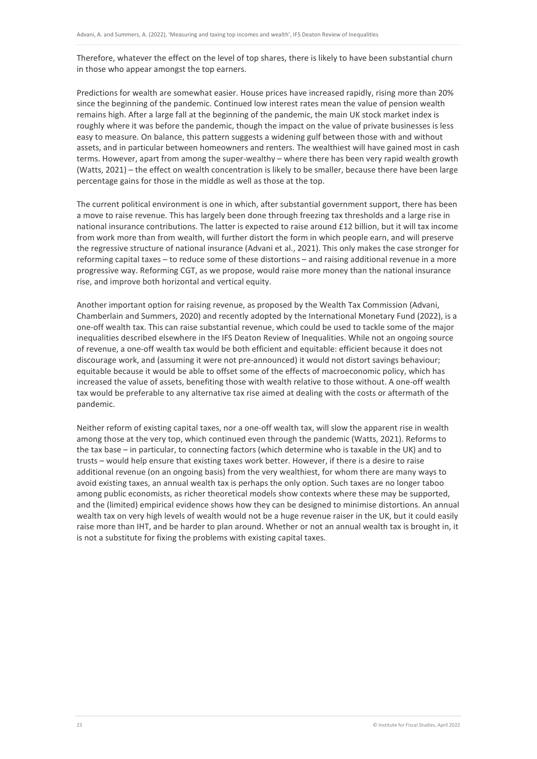Therefore, whatever the effect on the level of top shares, there is likely to have been substantial churn in those who appear amongst the top earners.

Predictions for wealth are somewhat easier. House prices have increased rapidly, rising more than 20% since the beginning of the pandemic. Continued low interest rates mean the value of pension wealth remains high. After a large fall at the beginning of the pandemic, the main UK stock market index is roughly where it was before the pandemic, though the impact on the value of private businesses is less easy to measure. On balance, this pattern suggests a widening gulf between those with and without assets, and in particular between homeowners and renters. The wealthiest will have gained most in cash terms. However, apart from among the super-wealthy – where there has been very rapid wealth growth (Watts, 2021) – the effect on wealth concentration is likely to be smaller, because there have been large percentage gains for those in the middle as well as those at the top.

The current political environment is one in which, after substantial government support, there has been a move to raise revenue. This has largely been done through freezing tax thresholds and a large rise in national insurance contributions. The latter is expected to raise around £12 billion, but it will tax income from work more than from wealth, will further distort the form in which people earn, and will preserve the regressive structure of national insurance (Advani et al., 2021). This only makes the case stronger for reforming capital taxes – to reduce some of these distortions – and raising additional revenue in a more progressive way. Reforming CGT, as we propose, would raise more money than the national insurance rise, and improve both horizontal and vertical equity.

Another important option for raising revenue, as proposed by the Wealth Tax Commission (Advani, Chamberlain and Summers, 2020) and recently adopted by the International Monetary Fund (2022), is a one-off wealth tax. This can raise substantial revenue, which could be used to tackle some of the major inequalities described elsewhere in the IFS Deaton Review of Inequalities. While not an ongoing source of revenue, a one-off wealth tax would be both efficient and equitable: efficient because it does not discourage work, and (assuming it were not pre-announced) it would not distort savings behaviour; equitable because it would be able to offset some of the effects of macroeconomic policy, which has increased the value of assets, benefiting those with wealth relative to those without. A one-off wealth tax would be preferable to any alternative tax rise aimed at dealing with the costs or aftermath of the pandemic.

Neither reform of existing capital taxes, nor a one-off wealth tax, will slow the apparent rise in wealth among those at the very top, which continued even through the pandemic (Watts, 2021). Reforms to the tax base – in particular, to connecting factors (which determine who is taxable in the UK) and to trusts – would help ensure that existing taxes work better. However, if there is a desire to raise additional revenue (on an ongoing basis) from the very wealthiest, for whom there are many ways to avoid existing taxes, an annual wealth tax is perhaps the only option. Such taxes are no longer taboo among public economists, as richer theoretical models show contexts where these may be supported, and the (limited) empirical evidence shows how they can be designed to minimise distortions. An annual wealth tax on very high levels of wealth would not be a huge revenue raiser in the UK, but it could easily raise more than IHT, and be harder to plan around. Whether or not an annual wealth tax is brought in, it is not a substitute for fixing the problems with existing capital taxes.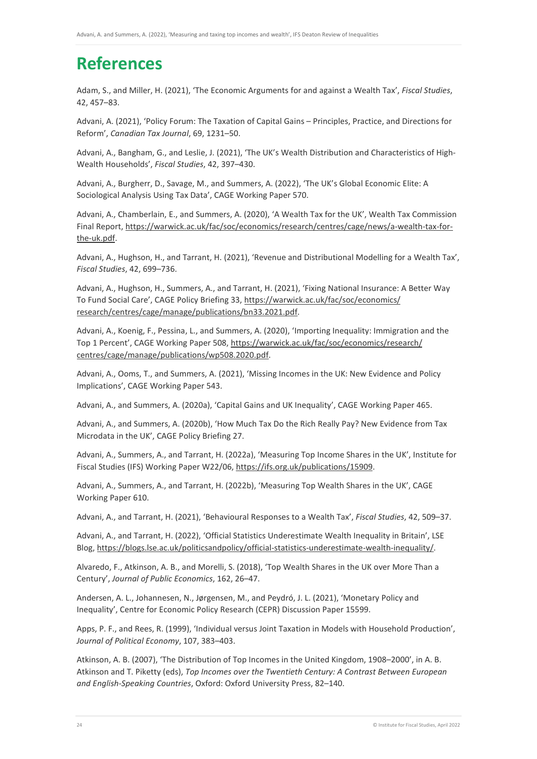# **References**

Adam, S., and Miller, H. (2021), 'The Economic Arguments for and against a Wealth Tax', *Fiscal Studies*, 42, 457–83.

Advani, A. (2021), 'Policy Forum: The Taxation of Capital Gains – Principles, Practice, and Directions for Reform', *Canadian Tax Journal*, 69, 1231–50.

Advani, A., Bangham, G., and Leslie, J. (2021), 'The UK's Wealth Distribution and Characteristics of High-Wealth Households', *Fiscal Studies*, 42, 397–430.

Advani, A., Burgherr, D., Savage, M., and Summers, A. (2022), 'The UK's Global Economic Elite: A Sociological Analysis Using Tax Data', CAGE Working Paper 570.

Advani, A., Chamberlain, E., and Summers, A. (2020), 'A Wealth Tax for the UK', Wealth Tax Commission Final Report, [https://warwick.ac.uk/fac/soc/economics/research/centres/cage/news/a-wealth-tax-for](https://warwick.ac.uk/fac/soc/economics/research/centres/cage/news/a-wealth-tax-for-the-uk.pdf)[the-uk.pdf.](https://warwick.ac.uk/fac/soc/economics/research/centres/cage/news/a-wealth-tax-for-the-uk.pdf)

Advani, A., Hughson, H., and Tarrant, H. (2021), 'Revenue and Distributional Modelling for a Wealth Tax', *Fiscal Studies*, 42, 699–736.

Advani, A., Hughson, H., Summers, A., and Tarrant, H. (2021), 'Fixing National Insurance: A Better Way To Fund Social Care', CAGE Policy Briefing 33, [https://warwick.ac.uk/fac/soc/economics/](https://warwick.ac.uk/fac/soc/economics/research/centres/cage/manage/publications/bn33.2021.pdf)  [research/centres/cage/manage/publications/bn33.2021.pdf.](https://warwick.ac.uk/fac/soc/economics/research/centres/cage/manage/publications/bn33.2021.pdf)

Advani, A., Koenig, F., Pessina, L., and Summers, A. (2020), 'Importing Inequality: Immigration and the Top 1 Percent', CAGE Working Paper 508, [https://warwick.ac.uk/fac/soc/economics/research/](https://warwick.ac.uk/fac/soc/economics/research/centres/cage/manage/publications/wp508.2020.pdf)  [centres/cage/manage/publications/wp508.2020.pdf.](https://warwick.ac.uk/fac/soc/economics/research/centres/cage/manage/publications/wp508.2020.pdf)

Advani, A., Ooms, T., and Summers, A. (2021), 'Missing Incomes in the UK: New Evidence and Policy Implications', CAGE Working Paper 543.

Advani, A., and Summers, A. (2020a), 'Capital Gains and UK Inequality', CAGE Working Paper 465.

Advani, A., and Summers, A. (2020b), 'How Much Tax Do the Rich Really Pay? New Evidence from Tax Microdata in the UK', CAGE Policy Briefing 27.

Advani, A., Summers, A., and Tarrant, H. (2022a), 'Measuring Top Income Shares in the UK', Institute for Fiscal Studies (IFS) Working Paper W22/06, [https://ifs.org.uk/publications/15909.](https://ifs.org.uk/publications/15909)

Advani, A., Summers, A., and Tarrant, H. (2022b), 'Measuring Top Wealth Shares in the UK', CAGE Working Paper 610.

Advani, A., and Tarrant, H. (2021), 'Behavioural Responses to a Wealth Tax', *Fiscal Studies*, 42, 509–37.

Advani, A., and Tarrant, H. (2022), 'Official Statistics Underestimate Wealth Inequality in Britain', LSE Blog[, https://blogs.lse.ac.uk/politicsandpolicy/official-statistics-underestimate-wealth-inequality/.](https://blogs.lse.ac.uk/politicsandpolicy/official-statistics-underestimate-wealth-inequality/)

Alvaredo, F., Atkinson, A. B., and Morelli, S. (2018), 'Top Wealth Shares in the UK over More Than a Century', *Journal of Public Economics*, 162, 26–47.

Andersen, A. L., Johannesen, N., Jørgensen, M., and Peydró, J. L. (2021), 'Monetary Policy and Inequality', Centre for Economic Policy Research (CEPR) Discussion Paper 15599.

Apps, P. F., and Rees, R. (1999), 'Individual versus Joint Taxation in Models with Household Production', *Journal of Political Economy*, 107, 383–403.

Atkinson, A. B. (2007), 'The Distribution of Top Incomes in the United Kingdom, 1908–2000', in A. B. Atkinson and T. Piketty (eds), *Top Incomes over the Twentieth Century: A Contrast Between European and English-Speaking Countries*, Oxford: Oxford University Press, 82–140.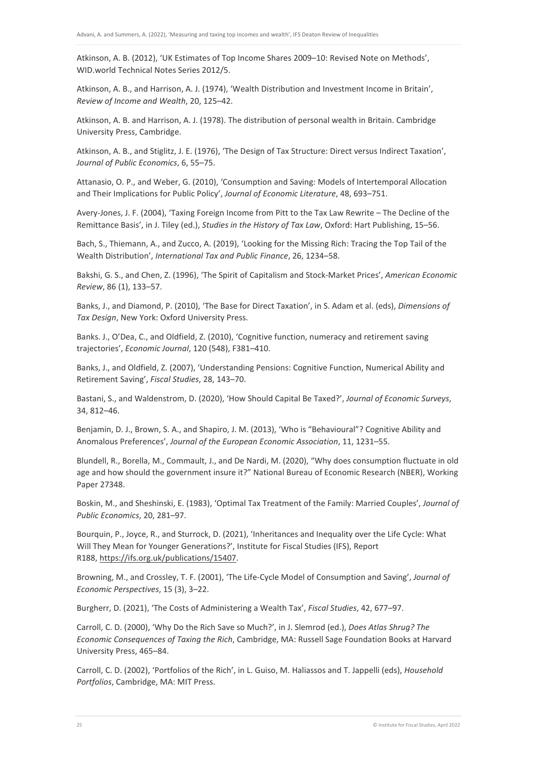Atkinson, A. B. (2012), 'UK Estimates of Top Income Shares 2009–10: Revised Note on Methods', WID.world Technical Notes Series 2012/5.

Atkinson, A. B., and Harrison, A. J. (1974), 'Wealth Distribution and Investment Income in Britain', *Review of Income and Wealth*, 20, 125–42.

Atkinson, A. B. and Harrison, A. J. (1978). The distribution of personal wealth in Britain. Cambridge University Press, Cambridge.

Atkinson, A. B., and Stiglitz, J. E. (1976), 'The Design of Tax Structure: Direct versus Indirect Taxation', *Journal of Public Economics*, 6, 55–75.

Attanasio, O. P., and Weber, G. (2010), 'Consumption and Saving: Models of Intertemporal Allocation and Their Implications for Public Policy', *Journal of Economic Literature*, 48, 693–751.

Avery-Jones, J. F. (2004), 'Taxing Foreign Income from Pitt to the Tax Law Rewrite – The Decline of the Remittance Basis', in J. Tiley (ed.), *Studies in the History of Tax Law*, Oxford: Hart Publishing, 15–56.

Bach, S., Thiemann, A., and Zucco, A. (2019), 'Looking for the Missing Rich: Tracing the Top Tail of the Wealth Distribution', *International Tax and Public Finance*, 26, 1234–58.

Bakshi, G. S., and Chen, Z. (1996), 'The Spirit of Capitalism and Stock-Market Prices', *American Economic Review*, 86 (1), 133–57.

Banks, J., and Diamond, P. (2010), 'The Base for Direct Taxation', in S. Adam et al. (eds), *Dimensions of Tax Design*, New York: Oxford University Press.

Banks. J., O'Dea, C., and Oldfield, Z. (2010), 'Cognitive function, numeracy and retirement saving trajectories', *Economic Journal*, 120 (548), F381–410.

Banks, J., and Oldfield, Z. (2007), 'Understanding Pensions: Cognitive Function, Numerical Ability and Retirement Saving', *Fiscal Studies*, 28, 143–70.

Bastani, S., and Waldenstrom, D. (2020), 'How Should Capital Be Taxed?', *Journal of Economic Surveys*, 34, 812–46.

Benjamin, D. J., Brown, S. A., and Shapiro, J. M. (2013), 'Who is "Behavioural"? Cognitive Ability and Anomalous Preferences', *Journal of the European Economic Association*, 11, 1231–55.

Blundell, R., Borella, M., Commault, J., and De Nardi, M. (2020), "Why does consumption fluctuate in old age and how should the government insure it?" National Bureau of Economic Research (NBER), Working Paper 27348.

Boskin, M., and Sheshinski, E. (1983), 'Optimal Tax Treatment of the Family: Married Couples', *Journal of Public Economics*, 20, 281–97.

Bourquin, P., Joyce, R., and Sturrock, D. (2021), 'Inheritances and Inequality over the Life Cycle: What Will They Mean for Younger Generations?', Institute for Fiscal Studies (IFS), Report R188[, https://ifs.org.uk/publications/15407.](https://ifs.org.uk/publications/15407)

Browning, M., and Crossley, T. F. (2001), 'The Life-Cycle Model of Consumption and Saving', *Journal of Economic Perspectives*, 15 (3), 3–22.

Burgherr, D. (2021), 'The Costs of Administering a Wealth Tax', *Fiscal Studies*, 42, 677–97.

Carroll, C. D. (2000), 'Why Do the Rich Save so Much?', in J. Slemrod (ed.), *Does Atlas Shrug? The Economic Consequences of Taxing the Rich*, Cambridge, MA: Russell Sage Foundation Books at Harvard University Press, 465–84.

Carroll, C. D. (2002), 'Portfolios of the Rich', in L. Guiso, M. Haliassos and T. Jappelli (eds), *Household Portfolios*, Cambridge, MA: MIT Press.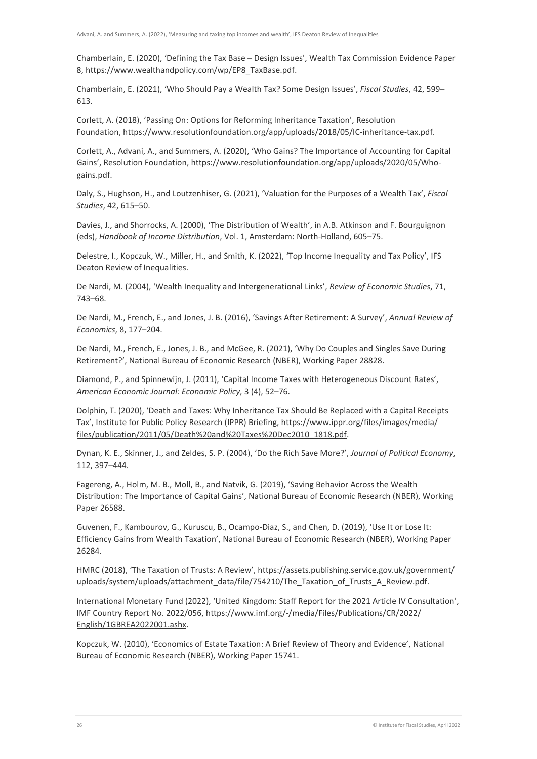Chamberlain, E. (2020), 'Defining the Tax Base – Design Issues', Wealth Tax Commission Evidence Paper 8, [https://www.wealthandpolicy.com/wp/EP8\\_TaxBase.pdf.](https://www.wealthandpolicy.com/wp/EP8_TaxBase.pdf)

Chamberlain, E. (2021), 'Who Should Pay a Wealth Tax? Some Design Issues', *Fiscal Studies*, 42, 599– 613.

Corlett, A. (2018), 'Passing On: Options for Reforming Inheritance Taxation', Resolution Foundation[, https://www.resolutionfoundation.org/app/uploads/2018/05/IC-inheritance-tax.pdf.](https://www.resolutionfoundation.org/app/uploads/2018/05/IC-inheritance-tax.pdf)

Corlett, A., Advani, A., and Summers, A. (2020), 'Who Gains? The Importance of Accounting for Capital Gains', Resolution Foundation, [https://www.resolutionfoundation.org/app/uploads/2020/05/Who](https://www.resolutionfoundation.org/app/uploads/2020/05/Who-gains.pdf)[gains.pdf.](https://www.resolutionfoundation.org/app/uploads/2020/05/Who-gains.pdf)

Daly, S., Hughson, H., and Loutzenhiser, G. (2021), 'Valuation for the Purposes of a Wealth Tax', *Fiscal Studies*, 42, 615–50.

Davies, J., and Shorrocks, A. (2000), 'The Distribution of Wealth', in A.B. Atkinson and F. Bourguignon (eds), *Handbook of Income Distribution*, Vol. 1, Amsterdam: North-Holland, 605–75.

Delestre, I., Kopczuk, W., Miller, H., and Smith, K. (2022), 'Top Income Inequality and Tax Policy', IFS Deaton Review of Inequalities.

De Nardi, M. (2004), 'Wealth Inequality and Intergenerational Links', *Review of Economic Studies*, 71, 743–68.

De Nardi, M., French, E., and Jones, J. B. (2016), 'Savings After Retirement: A Survey', *Annual Review of Economics*, 8, 177–204.

De Nardi, M., French, E., Jones, J. B., and McGee, R. (2021), 'Why Do Couples and Singles Save During Retirement?', National Bureau of Economic Research (NBER), Working Paper 28828.

Diamond, P., and Spinnewijn, J. (2011), 'Capital Income Taxes with Heterogeneous Discount Rates', *American Economic Journal: Economic Policy*, 3 (4), 52–76.

Dolphin, T. (2020), 'Death and Taxes: Why Inheritance Tax Should Be Replaced with a Capital Receipts Tax', Institute for Public Policy Research (IPPR) Briefing, https://www.ippr.org/files/images/media/ [files/publication/2011/05/Death%20and%20Taxes%20Dec2010\\_1818.pdf.](https://www.ippr.org/files/images/media/files/publication/2011/05/Death%20and%20Taxes%20Dec2010_1818.pdf) 

Dynan, K. E., Skinner, J., and Zeldes, S. P. (2004), 'Do the Rich Save More?', *Journal of Political Economy*, 112, 397–444.

Fagereng, A., Holm, M. B., Moll, B., and Natvik, G. (2019), 'Saving Behavior Across the Wealth Distribution: The Importance of Capital Gains', National Bureau of Economic Research (NBER), Working Paper 26588.

Guvenen, F., Kambourov, G., Kuruscu, B., Ocampo-Diaz, S., and Chen, D. (2019), 'Use It or Lose It: Efficiency Gains from Wealth Taxation', National Bureau of Economic Research (NBER), Working Paper 26284.

HMRC (2018), 'The Taxation of Trusts: A Review', https://assets.publishing.service.gov.uk/government/ [uploads/system/uploads/attachment\\_data/file/754210/The\\_Taxation\\_of\\_Trusts\\_A\\_Review.pdf.](https://assets.publishing.service.gov.uk/government/uploads/system/uploads/attachment_data/file/754210/The_Taxation_of_Trusts_A_Review.pdf)

International Monetary Fund (2022), 'United Kingdom: Staff Report for the 2021 Article IV Consultation', IMF Country Report No. 2022/056[, https://www.imf.org/-/media/Files/Publications/CR/2022/](https://www.imf.org/-/media/Files/Publications/CR/2022/English/1GBREA2022001.ashx)  [English/1GBREA2022001.ashx.](https://www.imf.org/-/media/Files/Publications/CR/2022/English/1GBREA2022001.ashx)

Kopczuk, W. (2010), 'Economics of Estate Taxation: A Brief Review of Theory and Evidence', National Bureau of Economic Research (NBER), Working Paper 15741.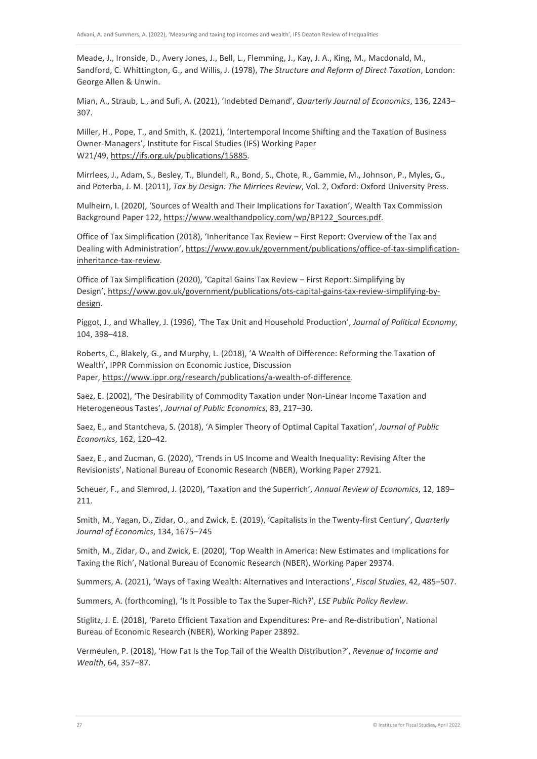Meade, J., Ironside, D., Avery Jones, J., Bell, L., Flemming, J., Kay, J. A., King, M., Macdonald, M., Sandford, C. Whittington, G., and Willis, J. (1978), *The Structure and Reform of Direct Taxation*, London: George Allen & Unwin.

Mian, A., Straub, L., and Sufi, A. (2021), 'Indebted Demand', *Quarterly Journal of Economics*, 136, 2243– 307.

Miller, H., Pope, T., and Smith, K. (2021), 'Intertemporal Income Shifting and the Taxation of Business Owner-Managers', Institute for Fiscal Studies (IFS) Working Paper W21/49, [https://ifs.org.uk/publications/15885.](https://ifs.org.uk/publications/15885)

Mirrlees, J., Adam, S., Besley, T., Blundell, R., Bond, S., Chote, R., Gammie, M., Johnson, P., Myles, G., and Poterba, J. M. (2011), *Tax by Design: The Mirrlees Review*, Vol. 2, Oxford: Oxford University Press.

Mulheirn, I. (2020), 'Sources of Wealth and Their Implications for Taxation', Wealth Tax Commission Background Paper 122[, https://www.wealthandpolicy.com/wp/BP122\\_Sources.pdf.](https://www.wealthandpolicy.com/wp/BP122_Sources.pdf)

Office of Tax Simplification (2018), 'Inheritance Tax Review – First Report: Overview of the Tax and Dealing with Administration', [https://www.gov.uk/government/publications/office-of-tax-simplification](https://www.gov.uk/government/publications/office-of-tax-simplification-inheritance-tax-review)[inheritance-tax-review.](https://www.gov.uk/government/publications/office-of-tax-simplification-inheritance-tax-review)

Office of Tax Simplification (2020), 'Capital Gains Tax Review – First Report: Simplifying by Design'[, https://www.gov.uk/government/publications/ots-capital-gains-tax-review-simplifying-by](https://www.gov.uk/government/publications/ots-capital-gains-tax-review-simplifying-by-design)[design.](https://www.gov.uk/government/publications/ots-capital-gains-tax-review-simplifying-by-design)

Piggot, J., and Whalley, J. (1996), 'The Tax Unit and Household Production', *Journal of Political Economy*, 104, 398–418.

Roberts, C., Blakely, G., and Murphy, L. (2018), 'A Wealth of Difference: Reforming the Taxation of Wealth', IPPR Commission on Economic Justice, Discussion Paper[, https://www.ippr.org/research/publications/a-wealth-of-difference.](https://www.ippr.org/research/publications/a-wealth-of-difference)

Saez, E. (2002), 'The Desirability of Commodity Taxation under Non-Linear Income Taxation and Heterogeneous Tastes', *Journal of Public Economics*, 83, 217–30.

Saez, E., and Stantcheva, S. (2018), 'A Simpler Theory of Optimal Capital Taxation', *Journal of Public Economics*, 162, 120–42.

Saez, E., and Zucman, G. (2020), 'Trends in US Income and Wealth Inequality: Revising After the Revisionists', National Bureau of Economic Research (NBER), Working Paper 27921.

Scheuer, F., and Slemrod, J. (2020), 'Taxation and the Superrich', *Annual Review of Economics*, 12, 189– 211.

Smith, M., Yagan, D., Zidar, O., and Zwick, E. (2019), 'Capitalists in the Twenty-first Century', *Quarterly Journal of Economics*, 134, 1675–745

Smith, M., Zidar, O., and Zwick, E. (2020), 'Top Wealth in America: New Estimates and Implications for Taxing the Rich', National Bureau of Economic Research (NBER), Working Paper 29374.

Summers, A. (2021), 'Ways of Taxing Wealth: Alternatives and Interactions', *Fiscal Studies*, 42, 485–507.

Summers, A. (forthcoming), 'Is It Possible to Tax the Super-Rich?', *LSE Public Policy Review*.

Stiglitz, J. E. (2018), 'Pareto Efficient Taxation and Expenditures: Pre- and Re-distribution', National Bureau of Economic Research (NBER), Working Paper 23892.

Vermeulen, P. (2018), 'How Fat Is the Top Tail of the Wealth Distribution?', *Revenue of Income and Wealth*, 64, 357–87.